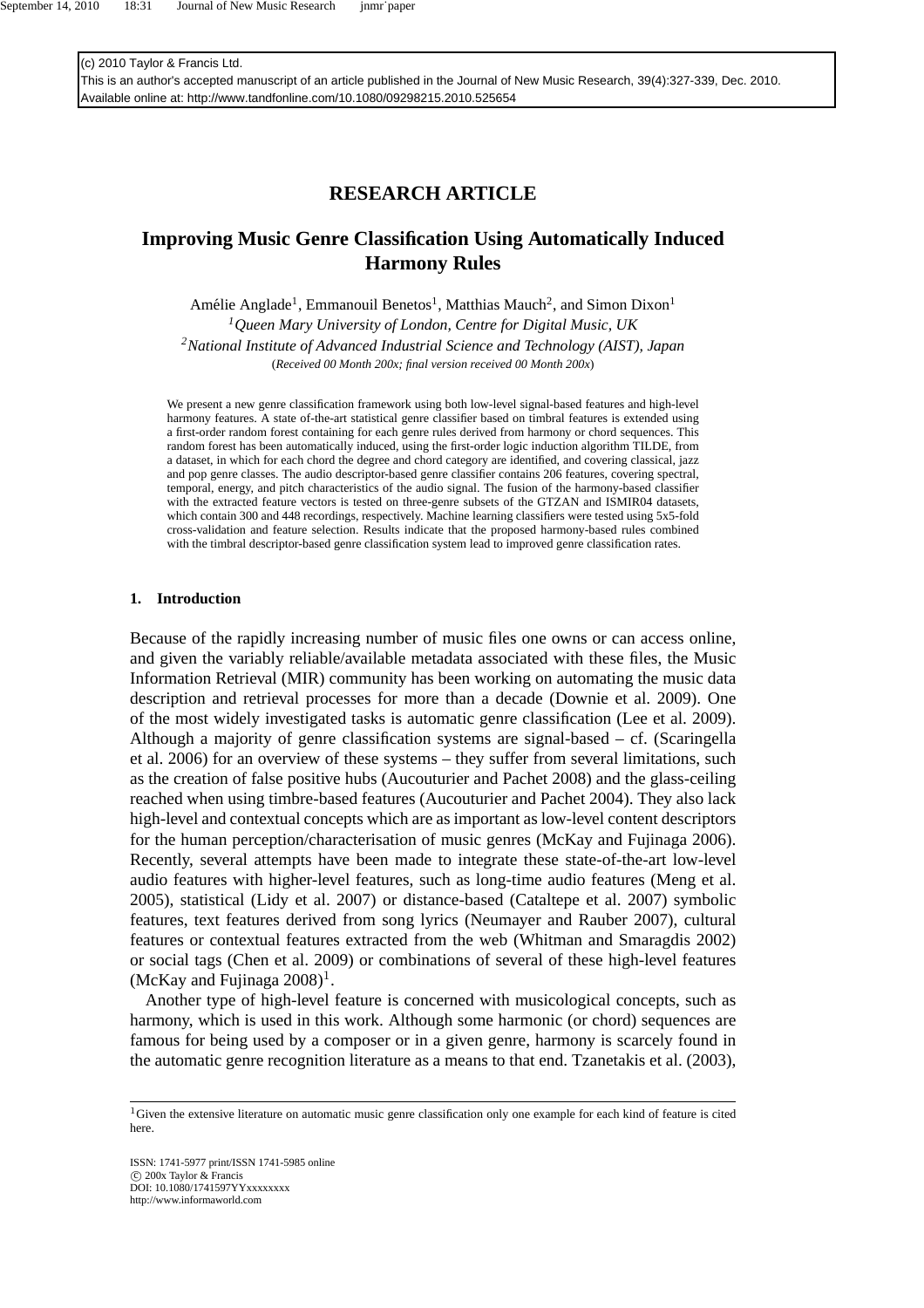## *Journal of New Music Research* (c) 2010 Taylor & Francis Ltd.

This is an author's accepted manuscript of an article published in the Journal of New Music Research, 39(4):327-339, Dec. 2010. Available online at: http://www.tandfonline.com/10.1080/09298215.2010.525654

# **RESEARCH ARTICLE**

# **Improving Music Genre Classification Using Automatically Induced Harmony Rules**

Amélie Anglade<sup>1</sup>, Emmanouil Benetos<sup>1</sup>, Matthias Mauch<sup>2</sup>, and Simon Dixon<sup>1</sup> *<sup>1</sup>Queen Mary University of London, Centre for Digital Music, UK <sup>2</sup>National Institute of Advanced Industrial Science and Technology (AIST), Japan* (*Received 00 Month 200x; final version received 00 Month 200x*)

We present a new genre classification framework using both low-level signal-based features and high-level harmony features. A state of-the-art statistical genre classifier based on timbral features is extended using a first-order random forest containing for each genre rules derived from harmony or chord sequences. This random forest has been automatically induced, using the first-order logic induction algorithm TILDE, from a dataset, in which for each chord the degree and chord category are identified, and covering classical, jazz and pop genre classes. The audio descriptor-based genre classifier contains 206 features, covering spectral, temporal, energy, and pitch characteristics of the audio signal. The fusion of the harmony-based classifier with the extracted feature vectors is tested on three-genre subsets of the GTZAN and ISMIR04 datasets, which contain 300 and 448 recordings, respectively. Machine learning classifiers were tested using 5x5-fold cross-validation and feature selection. Results indicate that the proposed harmony-based rules combined with the timbral descriptor-based genre classification system lead to improved genre classification rates.

#### **1. Introduction**

Because of the rapidly increasing number of music files one owns or can access online, and given the variably reliable/available metadata associated with these files, the Music Information Retrieval (MIR) community has been working on automating the music data description and retrieval processes for more than a decade (Downie et al. 2009). One of the most widely investigated tasks is automatic genre classification (Lee et al. 2009). Although a majority of genre classification systems are signal-based – cf. (Scaringella et al. 2006) for an overview of these systems – they suffer from several limitations, such as the creation of false positive hubs (Aucouturier and Pachet 2008) and the glass-ceiling reached when using timbre-based features (Aucouturier and Pachet 2004). They also lack high-level and contextual concepts which are as important as low-level content descriptors for the human perception/characterisation of music genres (McKay and Fujinaga 2006). Recently, several attempts have been made to integrate these state-of-the-art low-level audio features with higher-level features, such as long-time audio features (Meng et al. 2005), statistical (Lidy et al. 2007) or distance-based (Cataltepe et al. 2007) symbolic features, text features derived from song lyrics (Neumayer and Rauber 2007), cultural features or contextual features extracted from the web (Whitman and Smaragdis 2002) or social tags (Chen et al. 2009) or combinations of several of these high-level features (McKay and Fujinaga  $2008$ )<sup>1</sup>.

Another type of high-level feature is concerned with musicological concepts, such as harmony, which is used in this work. Although some harmonic (or chord) sequences are famous for being used by a composer or in a given genre, harmony is scarcely found in the automatic genre recognition literature as a means to that end. Tzanetakis et al. (2003),

<sup>&</sup>lt;sup>1</sup>Given the extensive literature on automatic music genre classification only one example for each kind of feature is cited here.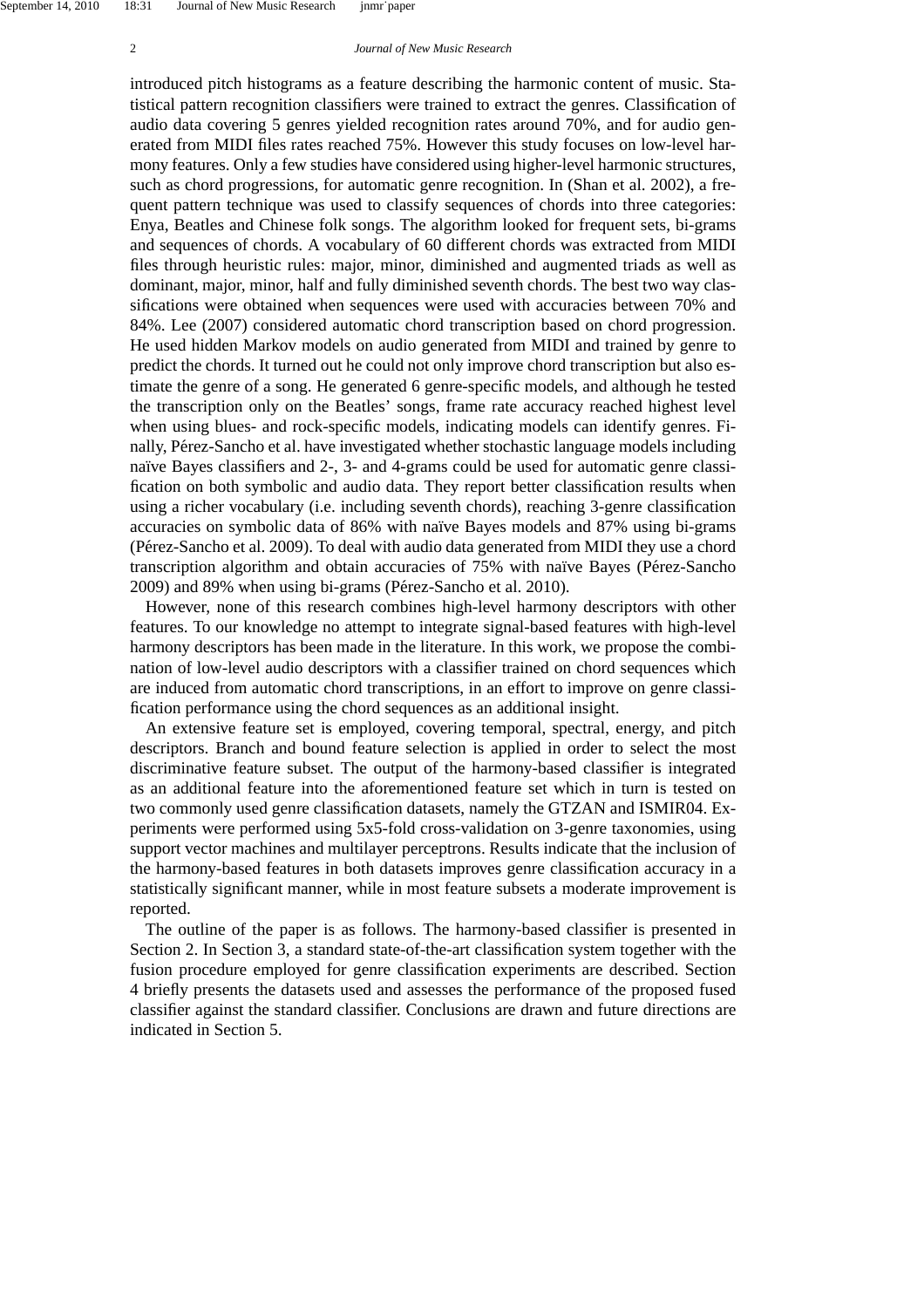#### 2 *Journal of New Music Research*

introduced pitch histograms as a feature describing the harmonic content of music. Statistical pattern recognition classifiers were trained to extract the genres. Classification of audio data covering 5 genres yielded recognition rates around 70%, and for audio generated from MIDI files rates reached 75%. However this study focuses on low-level harmony features. Only a few studies have considered using higher-level harmonic structures, such as chord progressions, for automatic genre recognition. In (Shan et al. 2002), a frequent pattern technique was used to classify sequences of chords into three categories: Enya, Beatles and Chinese folk songs. The algorithm looked for frequent sets, bi-grams and sequences of chords. A vocabulary of 60 different chords was extracted from MIDI files through heuristic rules: major, minor, diminished and augmented triads as well as dominant, major, minor, half and fully diminished seventh chords. The best two way classifications were obtained when sequences were used with accuracies between 70% and 84%. Lee (2007) considered automatic chord transcription based on chord progression. He used hidden Markov models on audio generated from MIDI and trained by genre to predict the chords. It turned out he could not only improve chord transcription but also estimate the genre of a song. He generated 6 genre-specific models, and although he tested the transcription only on the Beatles' songs, frame rate accuracy reached highest level when using blues- and rock-specific models, indicating models can identify genres. Finally, Pérez-Sancho et al. have investigated whether stochastic language models including naïve Bayes classifiers and 2-, 3- and 4-grams could be used for automatic genre classification on both symbolic and audio data. They report better classification results when using a richer vocabulary (i.e. including seventh chords), reaching 3-genre classification accuracies on symbolic data of 86% with naïve Bayes models and 87% using bi-grams (Pérez-Sancho et al. 2009). To deal with audio data generated from MIDI they use a chord transcription algorithm and obtain accuracies of 75% with naïve Bayes (Pérez-Sancho  $2009$ ) and  $89\%$  when using bi-grams (Pérez-Sancho et al.  $2010$ ).

However, none of this research combines high-level harmony descriptors with other features. To our knowledge no attempt to integrate signal-based features with high-level harmony descriptors has been made in the literature. In this work, we propose the combination of low-level audio descriptors with a classifier trained on chord sequences which are induced from automatic chord transcriptions, in an effort to improve on genre classification performance using the chord sequences as an additional insight.

An extensive feature set is employed, covering temporal, spectral, energy, and pitch descriptors. Branch and bound feature selection is applied in order to select the most discriminative feature subset. The output of the harmony-based classifier is integrated as an additional feature into the aforementioned feature set which in turn is tested on two commonly used genre classification datasets, namely the GTZAN and ISMIR04. Experiments were performed using 5x5-fold cross-validation on 3-genre taxonomies, using support vector machines and multilayer perceptrons. Results indicate that the inclusion of the harmony-based features in both datasets improves genre classification accuracy in a statistically significant manner, while in most feature subsets a moderate improvement is reported.

The outline of the paper is as follows. The harmony-based classifier is presented in Section 2. In Section 3, a standard state-of-the-art classification system together with the fusion procedure employed for genre classification experiments are described. Section 4 briefly presents the datasets used and assesses the performance of the proposed fused classifier against the standard classifier. Conclusions are drawn and future directions are indicated in Section 5.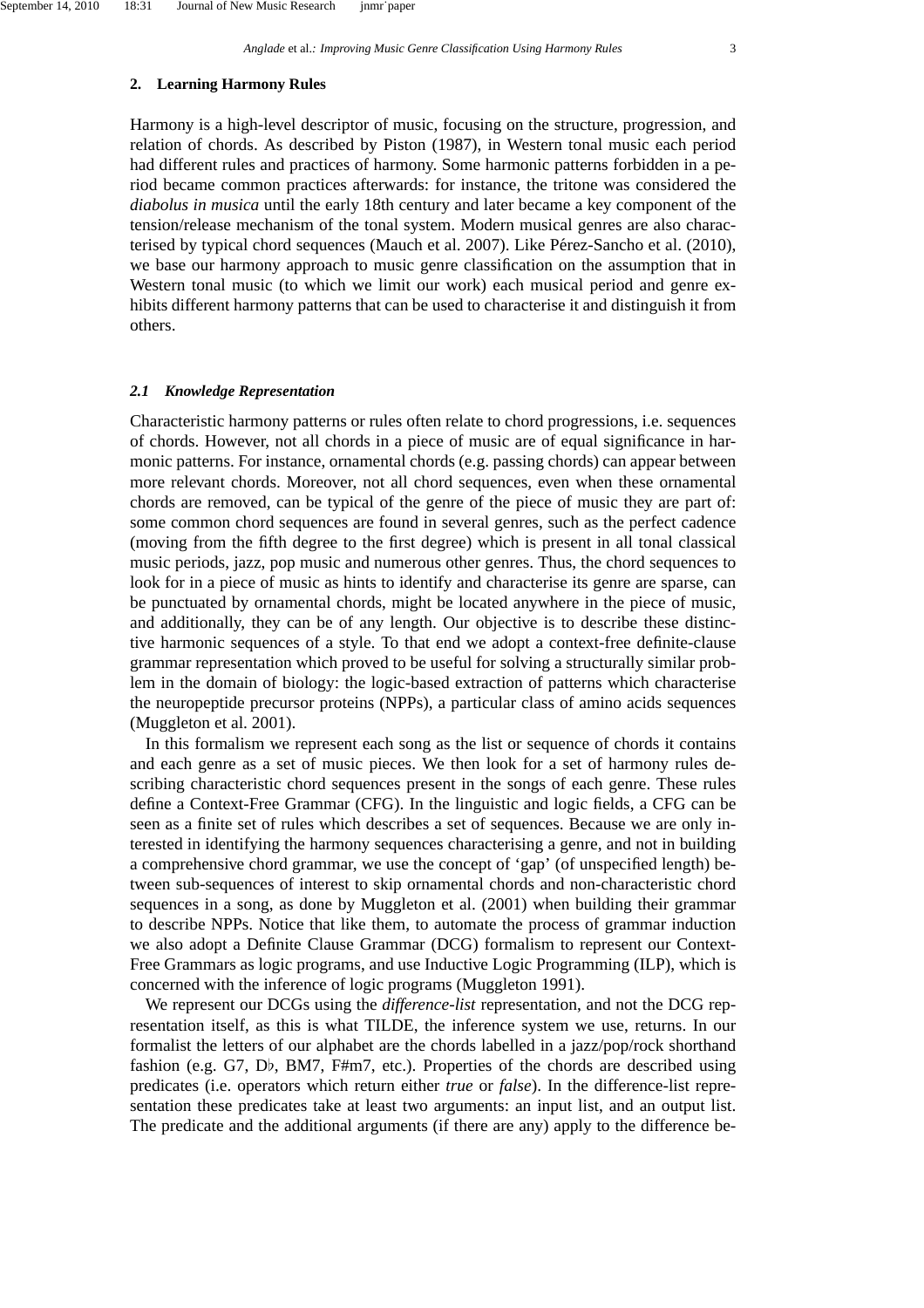### **2. Learning Harmony Rules**

Harmony is a high-level descriptor of music, focusing on the structure, progression, and relation of chords. As described by Piston (1987), in Western tonal music each period had different rules and practices of harmony. Some harmonic patterns forbidden in a period became common practices afterwards: for instance, the tritone was considered the *diabolus in musica* until the early 18th century and later became a key component of the tension/release mechanism of the tonal system. Modern musical genres are also characterised by typical chord sequences (Mauch et al. 2007). Like Pérez-Sancho et al. (2010), we base our harmony approach to music genre classification on the assumption that in Western tonal music (to which we limit our work) each musical period and genre exhibits different harmony patterns that can be used to characterise it and distinguish it from others.

### *2.1 Knowledge Representation*

Characteristic harmony patterns or rules often relate to chord progressions, i.e. sequences of chords. However, not all chords in a piece of music are of equal significance in harmonic patterns. For instance, ornamental chords (e.g. passing chords) can appear between more relevant chords. Moreover, not all chord sequences, even when these ornamental chords are removed, can be typical of the genre of the piece of music they are part of: some common chord sequences are found in several genres, such as the perfect cadence (moving from the fifth degree to the first degree) which is present in all tonal classical music periods, jazz, pop music and numerous other genres. Thus, the chord sequences to look for in a piece of music as hints to identify and characterise its genre are sparse, can be punctuated by ornamental chords, might be located anywhere in the piece of music, and additionally, they can be of any length. Our objective is to describe these distinctive harmonic sequences of a style. To that end we adopt a context-free definite-clause grammar representation which proved to be useful for solving a structurally similar problem in the domain of biology: the logic-based extraction of patterns which characterise the neuropeptide precursor proteins (NPPs), a particular class of amino acids sequences (Muggleton et al. 2001).

In this formalism we represent each song as the list or sequence of chords it contains and each genre as a set of music pieces. We then look for a set of harmony rules describing characteristic chord sequences present in the songs of each genre. These rules define a Context-Free Grammar (CFG). In the linguistic and logic fields, a CFG can be seen as a finite set of rules which describes a set of sequences. Because we are only interested in identifying the harmony sequences characterising a genre, and not in building a comprehensive chord grammar, we use the concept of 'gap' (of unspecified length) between sub-sequences of interest to skip ornamental chords and non-characteristic chord sequences in a song, as done by Muggleton et al. (2001) when building their grammar to describe NPPs. Notice that like them, to automate the process of grammar induction we also adopt a Definite Clause Grammar (DCG) formalism to represent our Context-Free Grammars as logic programs, and use Inductive Logic Programming (ILP), which is concerned with the inference of logic programs (Muggleton 1991).

We represent our DCGs using the *difference-list* representation, and not the DCG representation itself, as this is what TILDE, the inference system we use, returns. In our formalist the letters of our alphabet are the chords labelled in a jazz/pop/rock shorthand fashion (e.g. G7, D♭, BM7, F#m7, etc.). Properties of the chords are described using predicates (i.e. operators which return either *true* or *false*). In the difference-list representation these predicates take at least two arguments: an input list, and an output list. The predicate and the additional arguments (if there are any) apply to the difference be-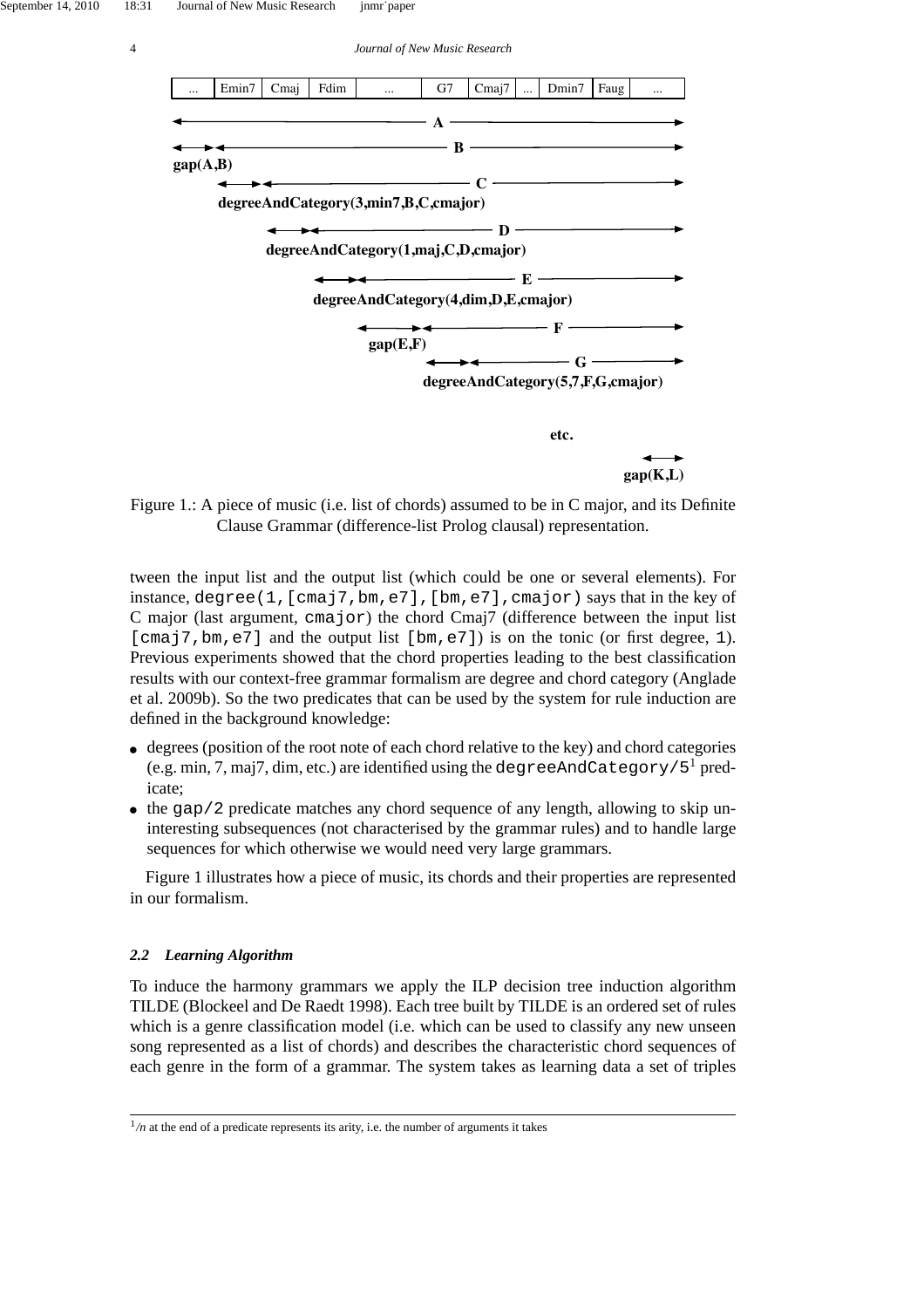

Figure 1.: A piece of music (i.e. list of chords) assumed to be in C major, and its Definite Clause Grammar (difference-list Prolog clausal) representation.

tween the input list and the output list (which could be one or several elements). For instance, degree(1,[cmaj7,bm,e7],[bm,e7],cmajor) says that in the key of C major (last argument,  $c$ ma jor) the chord Cmaj7 (difference between the input list [cmaj7, bm, e7] and the output list [bm, e7]) is on the tonic (or first degree, 1). Previous experiments showed that the chord properties leading to the best classification results with our context-free grammar formalism are degree and chord category (Anglade et al. 2009b). So the two predicates that can be used by the system for rule induction are defined in the background knowledge:

- degrees (position of the root note of each chord relative to the key) and chord categories (e.g. min, 7, maj7, dim, etc.) are identified using the degreeAndCategory/ $5^1$  predicate;
- $\bullet$  the gap/2 predicate matches any chord sequence of any length, allowing to skip uninteresting subsequences (not characterised by the grammar rules) and to handle large sequences for which otherwise we would need very large grammars.

Figure 1 illustrates how a piece of music, its chords and their properties are represented in our formalism.

## *2.2 Learning Algorithm*

To induce the harmony grammars we apply the ILP decision tree induction algorithm TILDE (Blockeel and De Raedt 1998). Each tree built by TILDE is an ordered set of rules which is a genre classification model (i.e. which can be used to classify any new unseen song represented as a list of chords) and describes the characteristic chord sequences of each genre in the form of a grammar. The system takes as learning data a set of triples

 $\frac{1}{n}$  at the end of a predicate represents its arity, i.e. the number of arguments it takes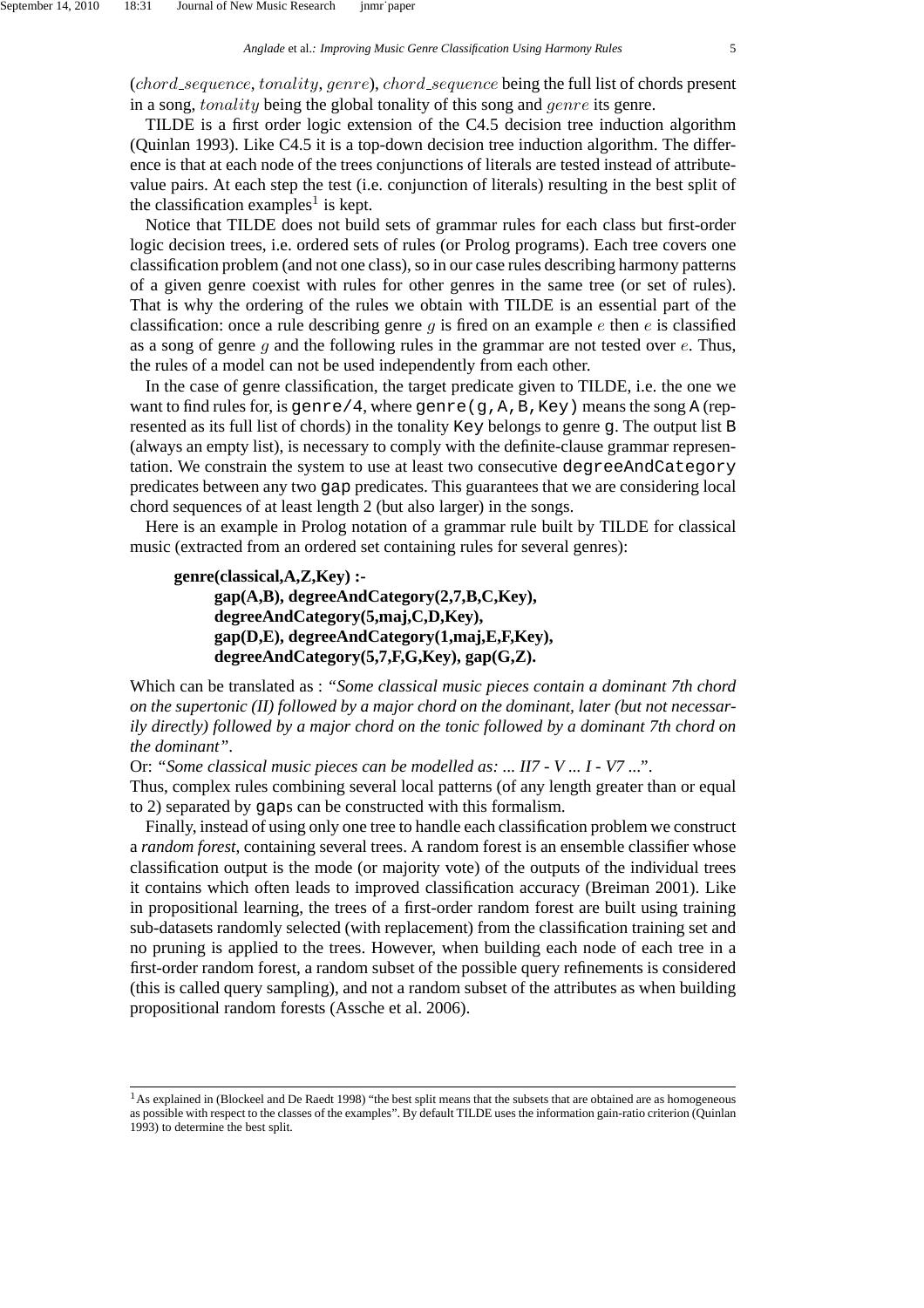$(chord\_sequence, tonality, genre), chord\_sequence being the full list of chords present$ in a song, tonality being the global tonality of this song and genre its genre.

TILDE is a first order logic extension of the C4.5 decision tree induction algorithm (Quinlan 1993). Like C4.5 it is a top-down decision tree induction algorithm. The difference is that at each node of the trees conjunctions of literals are tested instead of attributevalue pairs. At each step the test (i.e. conjunction of literals) resulting in the best split of the classification examples<sup>1</sup> is kept.

Notice that TILDE does not build sets of grammar rules for each class but first-order logic decision trees, i.e. ordered sets of rules (or Prolog programs). Each tree covers one classification problem (and not one class), so in our case rules describing harmony patterns of a given genre coexist with rules for other genres in the same tree (or set of rules). That is why the ordering of the rules we obtain with TILDE is an essential part of the classification: once a rule describing genre  $q$  is fired on an example  $e$  then  $e$  is classified as a song of genre  $g$  and the following rules in the grammar are not tested over  $e$ . Thus, the rules of a model can not be used independently from each other.

In the case of genre classification, the target predicate given to TILDE, i.e. the one we want to find rules for, is genre/4, where genre(g,A,B,Key) means the song A (represented as its full list of chords) in the tonality Key belongs to genre g. The output list B (always an empty list), is necessary to comply with the definite-clause grammar representation. We constrain the system to use at least two consecutive degreeAndCategory predicates between any two gap predicates. This guarantees that we are considering local chord sequences of at least length 2 (but also larger) in the songs.

Here is an example in Prolog notation of a grammar rule built by TILDE for classical music (extracted from an ordered set containing rules for several genres):

```
genre(classical,A,Z,Key) :-
gap(A,B), degreeAndCategory(2,7,B,C,Key),
degreeAndCategory(5,maj,C,D,Key),
gap(D,E), degreeAndCategory(1,maj,E,F,Key),
degreeAndCategory(5,7,F,G,Key), gap(G,Z).
```
Which can be translated as : *"Some classical music pieces contain a dominant 7th chord on the supertonic (II) followed by a major chord on the dominant, later (but not necessarily directly) followed by a major chord on the tonic followed by a dominant 7th chord on the dominant"*.

Or: *"Some classical music pieces can be modelled as: ... II7 - V ... I - V7 ..."*.

Thus, complex rules combining several local patterns (of any length greater than or equal to 2) separated by gaps can be constructed with this formalism.

Finally, instead of using only one tree to handle each classification problem we construct a *random forest*, containing several trees. A random forest is an ensemble classifier whose classification output is the mode (or majority vote) of the outputs of the individual trees it contains which often leads to improved classification accuracy (Breiman 2001). Like in propositional learning, the trees of a first-order random forest are built using training sub-datasets randomly selected (with replacement) from the classification training set and no pruning is applied to the trees. However, when building each node of each tree in a first-order random forest, a random subset of the possible query refinements is considered (this is called query sampling), and not a random subset of the attributes as when building propositional random forests (Assche et al. 2006).

 $<sup>1</sup>$ As explained in (Blockeel and De Raedt 1998) "the best split means that the subsets that are obtained are as homogeneous</sup> as possible with respect to the classes of the examples". By default TILDE uses the information gain-ratio criterion (Quinlan 1993) to determine the best split.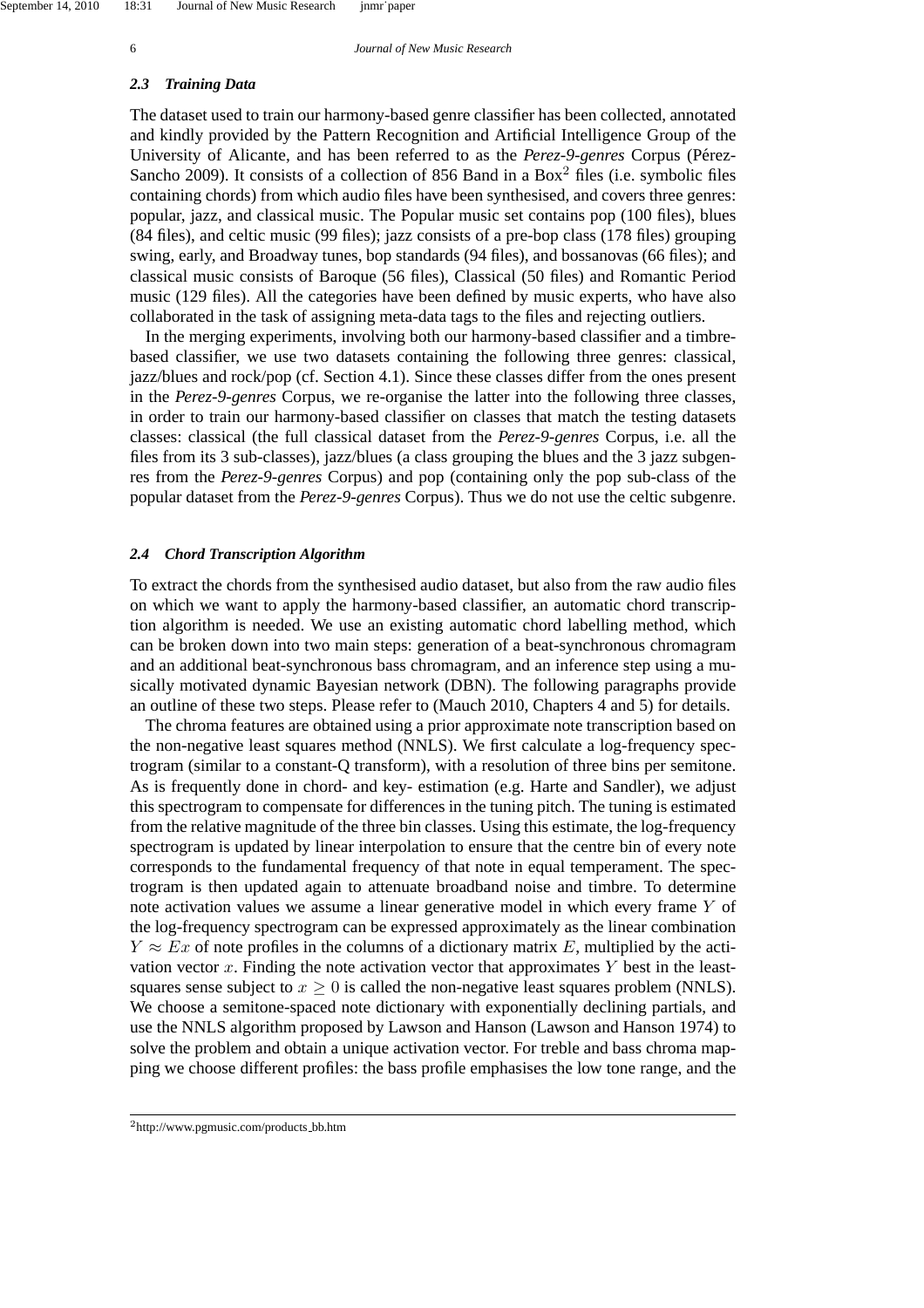## *2.3 Training Data*

The dataset used to train our harmony-based genre classifier has been collected, annotated and kindly provided by the Pattern Recognition and Artificial Intelligence Group of the University of Alicante, and has been referred to as the *Perez-9-genres* Corpus (Pérez-Sancho 2009). It consists of a collection of 856 Band in a Box<sup>2</sup> files (i.e. symbolic files containing chords) from which audio files have been synthesised, and covers three genres: popular, jazz, and classical music. The Popular music set contains pop (100 files), blues (84 files), and celtic music (99 files); jazz consists of a pre-bop class (178 files) grouping swing, early, and Broadway tunes, bop standards (94 files), and bossanovas (66 files); and classical music consists of Baroque (56 files), Classical (50 files) and Romantic Period music (129 files). All the categories have been defined by music experts, who have also collaborated in the task of assigning meta-data tags to the files and rejecting outliers.

In the merging experiments, involving both our harmony-based classifier and a timbrebased classifier, we use two datasets containing the following three genres: classical, jazz/blues and rock/pop (cf. Section 4.1). Since these classes differ from the ones present in the *Perez-9-genres* Corpus, we re-organise the latter into the following three classes, in order to train our harmony-based classifier on classes that match the testing datasets classes: classical (the full classical dataset from the *Perez-9-genres* Corpus, i.e. all the files from its 3 sub-classes), jazz/blues (a class grouping the blues and the 3 jazz subgenres from the *Perez-9-genres* Corpus) and pop (containing only the pop sub-class of the popular dataset from the *Perez-9-genres* Corpus). Thus we do not use the celtic subgenre.

## *2.4 Chord Transcription Algorithm*

To extract the chords from the synthesised audio dataset, but also from the raw audio files on which we want to apply the harmony-based classifier, an automatic chord transcription algorithm is needed. We use an existing automatic chord labelling method, which can be broken down into two main steps: generation of a beat-synchronous chromagram and an additional beat-synchronous bass chromagram, and an inference step using a musically motivated dynamic Bayesian network (DBN). The following paragraphs provide an outline of these two steps. Please refer to (Mauch 2010, Chapters 4 and 5) for details.

The chroma features are obtained using a prior approximate note transcription based on the non-negative least squares method (NNLS). We first calculate a log-frequency spectrogram (similar to a constant-Q transform), with a resolution of three bins per semitone. As is frequently done in chord- and key- estimation (e.g. Harte and Sandler), we adjust this spectrogram to compensate for differences in the tuning pitch. The tuning is estimated from the relative magnitude of the three bin classes. Using this estimate, the log-frequency spectrogram is updated by linear interpolation to ensure that the centre bin of every note corresponds to the fundamental frequency of that note in equal temperament. The spectrogram is then updated again to attenuate broadband noise and timbre. To determine note activation values we assume a linear generative model in which every frame Y of the log-frequency spectrogram can be expressed approximately as the linear combination  $Y \approx Ex$  of note profiles in the columns of a dictionary matrix E, multiplied by the activation vector x. Finding the note activation vector that approximates  $Y$  best in the leastsquares sense subject to  $x \geq 0$  is called the non-negative least squares problem (NNLS). We choose a semitone-spaced note dictionary with exponentially declining partials, and use the NNLS algorithm proposed by Lawson and Hanson (Lawson and Hanson 1974) to solve the problem and obtain a unique activation vector. For treble and bass chroma mapping we choose different profiles: the bass profile emphasises the low tone range, and the

 ${}^{2}$ http://www.pgmusic.com/products\_bb.htm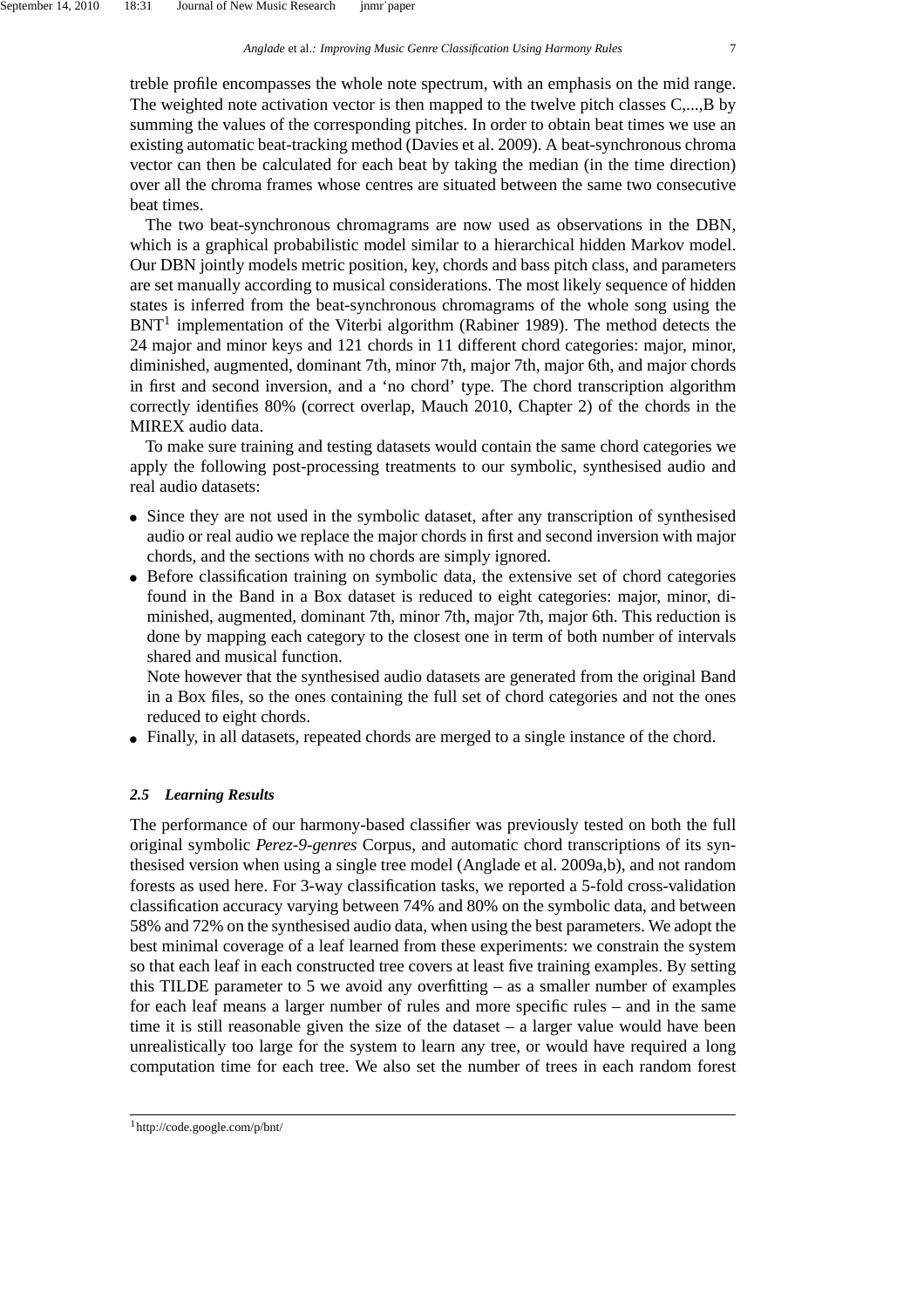treble profile encompasses the whole note spectrum, with an emphasis on the mid range. The weighted note activation vector is then mapped to the twelve pitch classes C,...,B by summing the values of the corresponding pitches. In order to obtain beat times we use an existing automatic beat-tracking method (Davies et al. 2009). A beat-synchronous chroma vector can then be calculated for each beat by taking the median (in the time direction) over all the chroma frames whose centres are situated between the same two consecutive beat times.

The two beat-synchronous chromagrams are now used as observations in the DBN, which is a graphical probabilistic model similar to a hierarchical hidden Markov model. Our DBN jointly models metric position, key, chords and bass pitch class, and parameters are set manually according to musical considerations. The most likely sequence of hidden states is inferred from the beat-synchronous chromagrams of the whole song using the  $BNT<sup>1</sup>$  implementation of the Viterbi algorithm (Rabiner 1989). The method detects the 24 major and minor keys and 121 chords in 11 different chord categories: major, minor, diminished, augmented, dominant 7th, minor 7th, major 7th, major 6th, and major chords in first and second inversion, and a 'no chord' type. The chord transcription algorithm correctly identifies 80% (correct overlap, Mauch 2010, Chapter 2) of the chords in the MIREX audio data.

To make sure training and testing datasets would contain the same chord categories we apply the following post-processing treatments to our symbolic, synthesised audio and real audio datasets:

- Since they are not used in the symbolic dataset, after any transcription of synthesised audio or real audio we replace the major chords in first and second inversion with major chords, and the sections with no chords are simply ignored.
- Before classification training on symbolic data, the extensive set of chord categories found in the Band in a Box dataset is reduced to eight categories: major, minor, diminished, augmented, dominant 7th, minor 7th, major 7th, major 6th. This reduction is done by mapping each category to the closest one in term of both number of intervals shared and musical function.

Note however that the synthesised audio datasets are generated from the original Band in a Box files, so the ones containing the full set of chord categories and not the ones reduced to eight chords.

• Finally, in all datasets, repeated chords are merged to a single instance of the chord.

### *2.5 Learning Results*

The performance of our harmony-based classifier was previously tested on both the full original symbolic *Perez-9-genres* Corpus, and automatic chord transcriptions of its synthesised version when using a single tree model (Anglade et al. 2009a,b), and not random forests as used here. For 3-way classification tasks, we reported a 5-fold cross-validation classification accuracy varying between 74% and 80% on the symbolic data, and between 58% and 72% on the synthesised audio data, when using the best parameters. We adopt the best minimal coverage of a leaf learned from these experiments: we constrain the system so that each leaf in each constructed tree covers at least five training examples. By setting this TILDE parameter to 5 we avoid any overfitting – as a smaller number of examples for each leaf means a larger number of rules and more specific rules – and in the same time it is still reasonable given the size of the dataset – a larger value would have been unrealistically too large for the system to learn any tree, or would have required a long computation time for each tree. We also set the number of trees in each random forest

<sup>1</sup>http://code.google.com/p/bnt/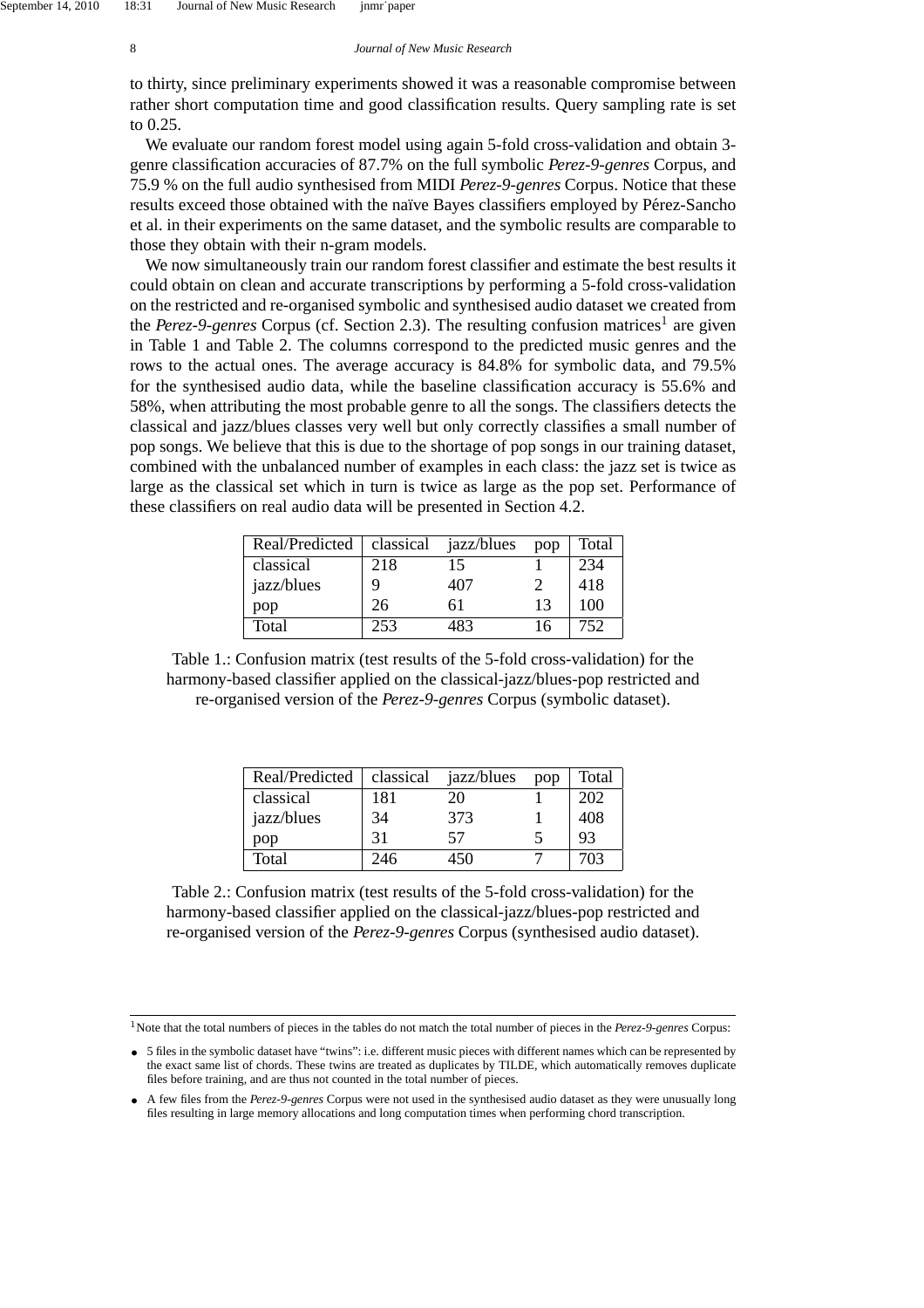to thirty, since preliminary experiments showed it was a reasonable compromise between rather short computation time and good classification results. Query sampling rate is set to 0.25.

We evaluate our random forest model using again 5-fold cross-validation and obtain 3 genre classification accuracies of 87.7% on the full symbolic *Perez-9-genres* Corpus, and 75.9 % on the full audio synthesised from MIDI *Perez-9-genres* Corpus. Notice that these results exceed those obtained with the naïve Bayes classifiers employed by Pérez-Sancho et al. in their experiments on the same dataset, and the symbolic results are comparable to those they obtain with their n-gram models.

We now simultaneously train our random forest classifier and estimate the best results it could obtain on clean and accurate transcriptions by performing a 5-fold cross-validation on the restricted and re-organised symbolic and synthesised audio dataset we created from the *Perez-9-genres* Corpus (cf. Section 2.3). The resulting confusion matrices<sup>1</sup> are given in Table 1 and Table 2. The columns correspond to the predicted music genres and the rows to the actual ones. The average accuracy is 84.8% for symbolic data, and 79.5% for the synthesised audio data, while the baseline classification accuracy is 55.6% and 58%, when attributing the most probable genre to all the songs. The classifiers detects the classical and jazz/blues classes very well but only correctly classifies a small number of pop songs. We believe that this is due to the shortage of pop songs in our training dataset, combined with the unbalanced number of examples in each class: the jazz set is twice as large as the classical set which in turn is twice as large as the pop set. Performance of these classifiers on real audio data will be presented in Section 4.2.

| Real/Predicted | classical | jazz/blues | pop | Total |
|----------------|-----------|------------|-----|-------|
| classical      | 218       | 15         |     | 234   |
| jazz/blues     | q         | 407        |     | 418   |
| pop            | 26        | 61         | 13  | 100   |
| Total          | 253       | 483        | 16  | 752   |

Table 1.: Confusion matrix (test results of the 5-fold cross-validation) for the harmony-based classifier applied on the classical-jazz/blues-pop restricted and re-organised version of the *Perez-9-genres* Corpus (symbolic dataset).

| Real/Predicted | classical | jazz/blues | pop | Total |
|----------------|-----------|------------|-----|-------|
| classical      | 181       | 20         |     | 202   |
| jazz/blues     | 34        | 373        |     | 408   |
| pop            | 31        | 57         |     | 93    |
| Total          | 246       | 450        |     | 703   |

Table 2.: Confusion matrix (test results of the 5-fold cross-validation) for the harmony-based classifier applied on the classical-jazz/blues-pop restricted and re-organised version of the *Perez-9-genres* Corpus (synthesised audio dataset).

<sup>1</sup>Note that the total numbers of pieces in the tables do not match the total number of pieces in the *Perez-9-genres* Corpus:

<sup>•</sup> 5 files in the symbolic dataset have "twins": i.e. different music pieces with different names which can be represented by the exact same list of chords. These twins are treated as duplicates by TILDE, which automatically removes duplicate files before training, and are thus not counted in the total number of pieces.

<sup>•</sup> A few files from the *Perez-9-genres* Corpus were not used in the synthesised audio dataset as they were unusually long files resulting in large memory allocations and long computation times when performing chord transcription.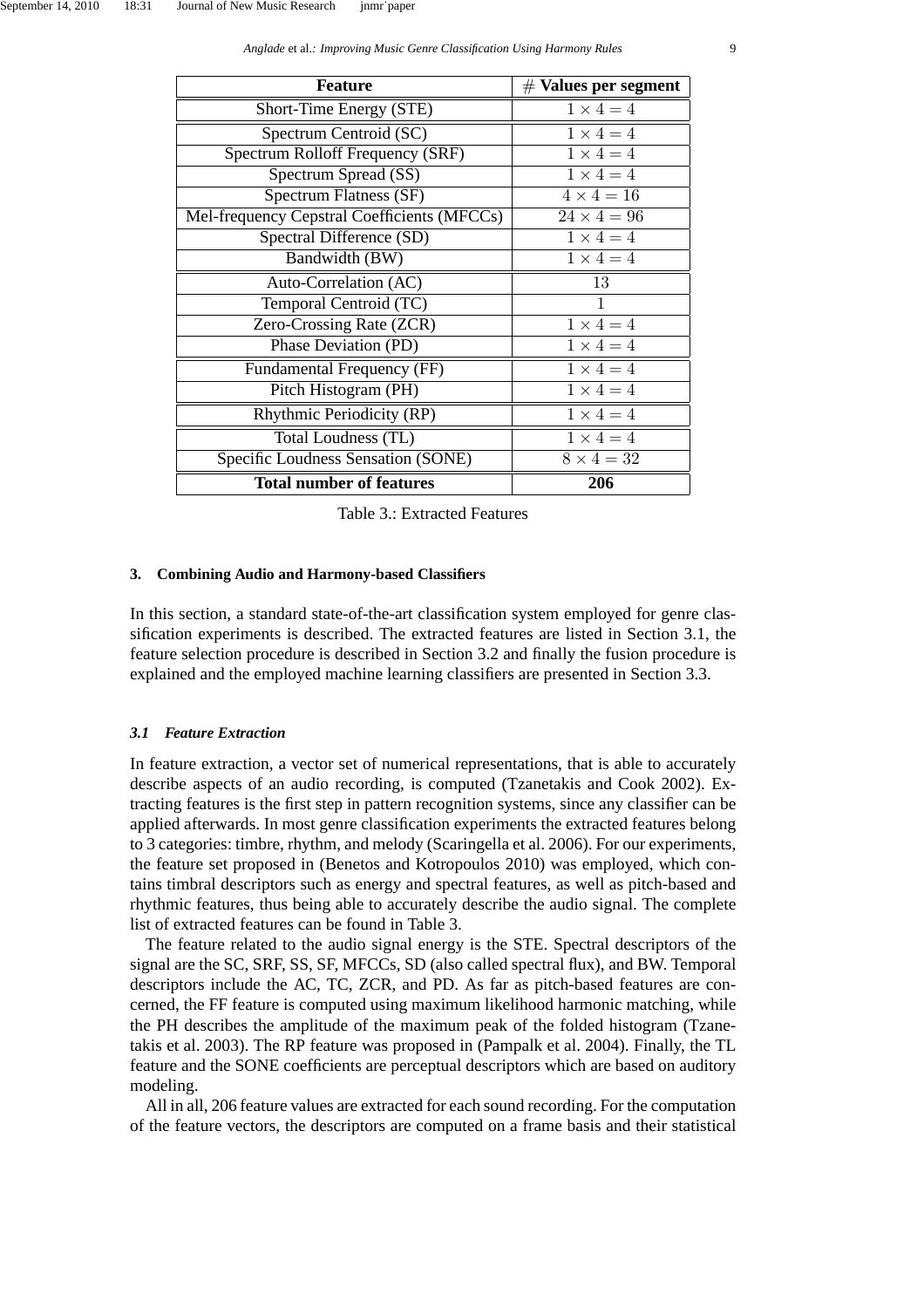| <b>Feature</b>                              | $#$ Values per segment |
|---------------------------------------------|------------------------|
| Short-Time Energy (STE)                     | $1 \times 4 = 4$       |
| Spectrum Centroid (SC)                      | $1 \times 4 = 4$       |
| Spectrum Rolloff Frequency (SRF)            | $1 \times 4 = 4$       |
| Spectrum Spread (SS)                        | $1 \times 4 = 4$       |
| <b>Spectrum Flatness (SF)</b>               | $4 \times 4 = 16$      |
| Mel-frequency Cepstral Coefficients (MFCCs) | $24 \times 4 = 96$     |
| Spectral Difference (SD)                    | $1 \times 4 = 4$       |
| Bandwidth (BW)                              | $1 \times 4 = 4$       |
| Auto-Correlation (AC)                       | 13                     |
| Temporal Centroid (TC)                      | $\mathbf{1}$           |
| Zero-Crossing Rate (ZCR)                    | $1 \times 4 = 4$       |
| Phase Deviation (PD)                        | $1 \times 4 = 4$       |
| Fundamental Frequency (FF)                  | $1 \times 4 = 4$       |
| Pitch Histogram (PH)                        | $1 \times 4 = 4$       |
| Rhythmic Periodicity (RP)                   | $1 \times 4 = 4$       |
| Total Loudness (TL)                         | $1 \times 4 = 4$       |
| Specific Loudness Sensation (SONE)          | $8 \times 4 = 32$      |
| <b>Total number of features</b>             | 206                    |

*Anglade* et al.*: Improving Music Genre Classification Using Harmony Rules* 9

Table 3.: Extracted Features

## **3. Combining Audio and Harmony-based Classifiers**

In this section, a standard state-of-the-art classification system employed for genre classification experiments is described. The extracted features are listed in Section 3.1, the feature selection procedure is described in Section 3.2 and finally the fusion procedure is explained and the employed machine learning classifiers are presented in Section 3.3.

### *3.1 Feature Extraction*

In feature extraction, a vector set of numerical representations, that is able to accurately describe aspects of an audio recording, is computed (Tzanetakis and Cook 2002). Extracting features is the first step in pattern recognition systems, since any classifier can be applied afterwards. In most genre classification experiments the extracted features belong to 3 categories: timbre, rhythm, and melody (Scaringella et al. 2006). For our experiments, the feature set proposed in (Benetos and Kotropoulos 2010) was employed, which contains timbral descriptors such as energy and spectral features, as well as pitch-based and rhythmic features, thus being able to accurately describe the audio signal. The complete list of extracted features can be found in Table 3.

The feature related to the audio signal energy is the STE. Spectral descriptors of the signal are the SC, SRF, SS, SF, MFCCs, SD (also called spectral flux), and BW. Temporal descriptors include the AC, TC, ZCR, and PD. As far as pitch-based features are concerned, the FF feature is computed using maximum likelihood harmonic matching, while the PH describes the amplitude of the maximum peak of the folded histogram (Tzanetakis et al. 2003). The RP feature was proposed in (Pampalk et al. 2004). Finally, the TL feature and the SONE coefficients are perceptual descriptors which are based on auditory modeling.

All in all, 206 feature values are extracted for each sound recording. For the computation of the feature vectors, the descriptors are computed on a frame basis and their statistical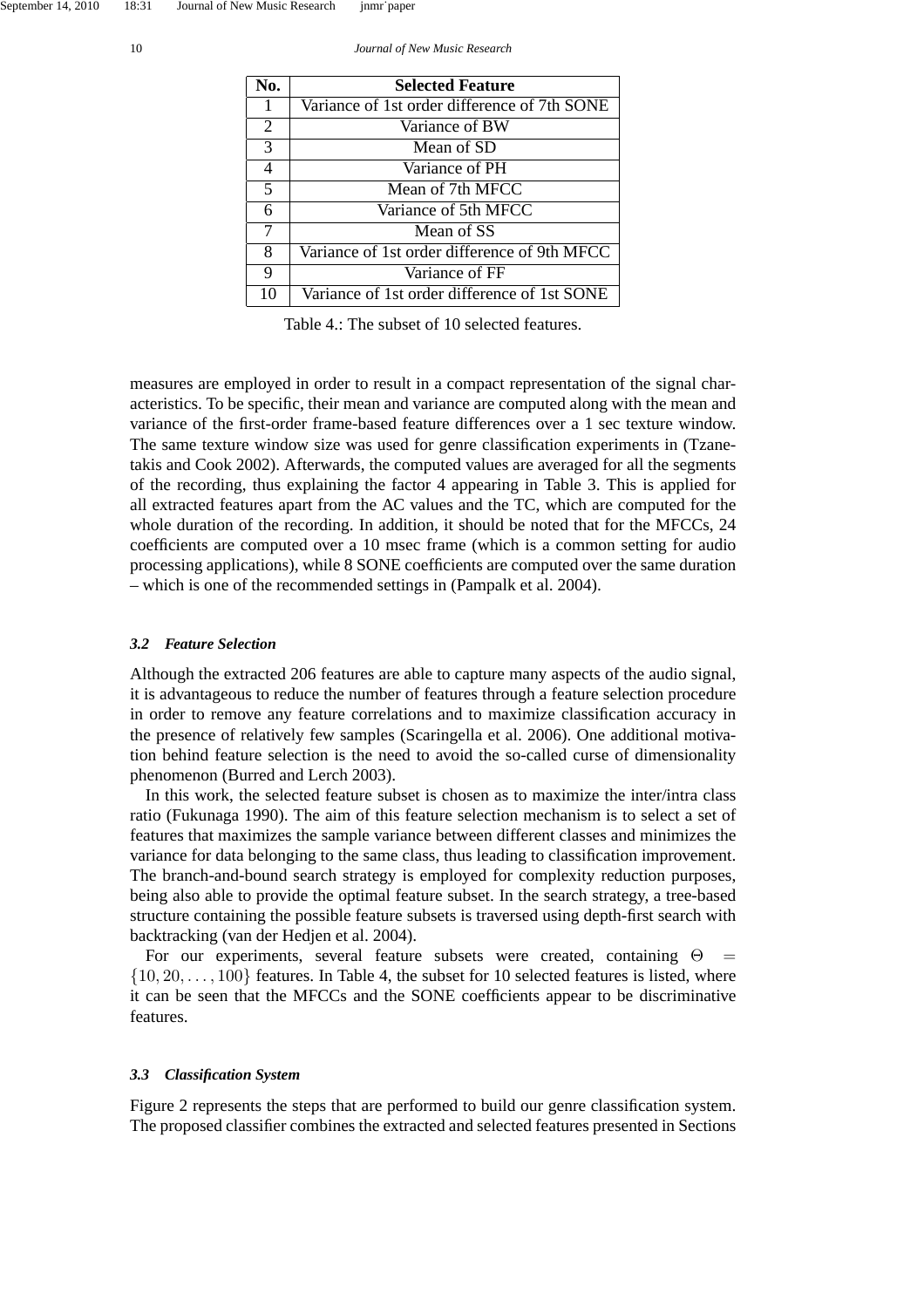10 *Journal of New Music Research*

| No.            | <b>Selected Feature</b>                      |
|----------------|----------------------------------------------|
| 1              | Variance of 1st order difference of 7th SONE |
| 2              | Variance of BW                               |
| $\overline{3}$ | Mean of SD                                   |
| 4              | Variance of PH                               |
| 5              | Mean of 7th MFCC                             |
| 6              | Variance of 5th MFCC                         |
| 7              | Mean of SS                                   |
| 8              | Variance of 1st order difference of 9th MFCC |
| 9              | Variance of FF                               |
| 10             | Variance of 1st order difference of 1st SONE |

Table 4.: The subset of 10 selected features.

measures are employed in order to result in a compact representation of the signal characteristics. To be specific, their mean and variance are computed along with the mean and variance of the first-order frame-based feature differences over a 1 sec texture window. The same texture window size was used for genre classification experiments in (Tzanetakis and Cook 2002). Afterwards, the computed values are averaged for all the segments of the recording, thus explaining the factor 4 appearing in Table 3. This is applied for all extracted features apart from the AC values and the TC, which are computed for the whole duration of the recording. In addition, it should be noted that for the MFCCs, 24 coefficients are computed over a 10 msec frame (which is a common setting for audio processing applications), while 8 SONE coefficients are computed over the same duration – which is one of the recommended settings in (Pampalk et al. 2004).

### *3.2 Feature Selection*

Although the extracted 206 features are able to capture many aspects of the audio signal, it is advantageous to reduce the number of features through a feature selection procedure in order to remove any feature correlations and to maximize classification accuracy in the presence of relatively few samples (Scaringella et al. 2006). One additional motivation behind feature selection is the need to avoid the so-called curse of dimensionality phenomenon (Burred and Lerch 2003).

In this work, the selected feature subset is chosen as to maximize the inter/intra class ratio (Fukunaga 1990). The aim of this feature selection mechanism is to select a set of features that maximizes the sample variance between different classes and minimizes the variance for data belonging to the same class, thus leading to classification improvement. The branch-and-bound search strategy is employed for complexity reduction purposes, being also able to provide the optimal feature subset. In the search strategy, a tree-based structure containing the possible feature subsets is traversed using depth-first search with backtracking (van der Hedjen et al. 2004).

For our experiments, several feature subsets were created, containing  $\Theta =$  $\{10, 20, \ldots, 100\}$  features. In Table 4, the subset for 10 selected features is listed, where it can be seen that the MFCCs and the SONE coefficients appear to be discriminative features.

### *3.3 Classification System*

Figure 2 represents the steps that are performed to build our genre classification system. The proposed classifier combines the extracted and selected features presented in Sections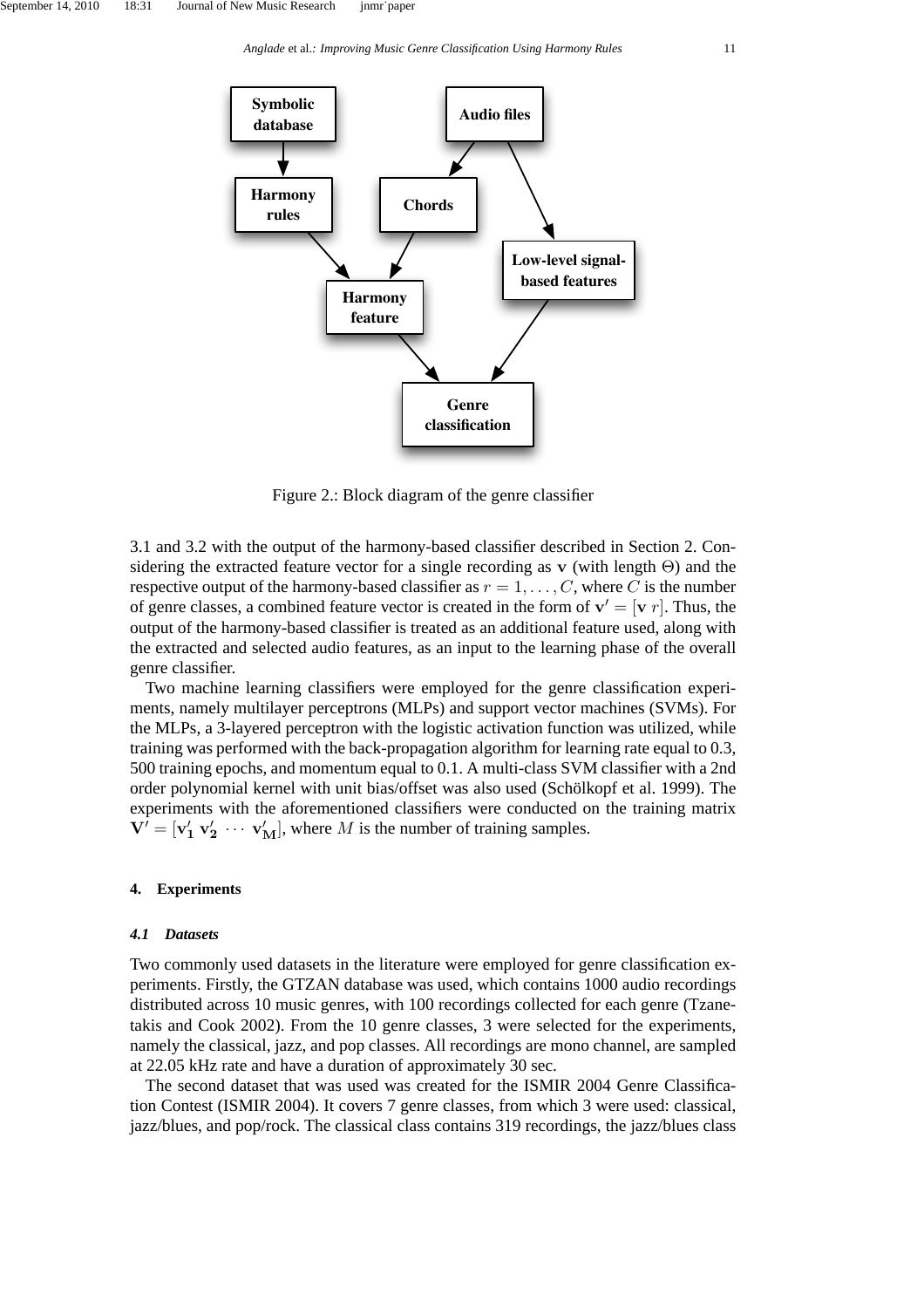

Figure 2.: Block diagram of the genre classifier

3.1 and 3.2 with the output of the harmony-based classifier described in Section 2. Considering the extracted feature vector for a single recording as  $\bf{v}$  (with length  $\Theta$ ) and the respective output of the harmony-based classifier as  $r = 1, \ldots, C$ , where C is the number of genre classes, a combined feature vector is created in the form of  $\mathbf{v}' = [\mathbf{v} \; r]$ . Thus, the output of the harmony-based classifier is treated as an additional feature used, along with the extracted and selected audio features, as an input to the learning phase of the overall genre classifier.

Two machine learning classifiers were employed for the genre classification experiments, namely multilayer perceptrons (MLPs) and support vector machines (SVMs). For the MLPs, a 3-layered perceptron with the logistic activation function was utilized, while training was performed with the back-propagation algorithm for learning rate equal to 0.3, 500 training epochs, and momentum equal to 0.1. A multi-class SVM classifier with a 2nd order polynomial kernel with unit bias/offset was also used (Schölkopf et al. 1999). The experiments with the aforementioned classifiers were conducted on the training matrix  $\overrightarrow{V} = [\mathbf{v}'_1 \ \mathbf{v}'_2 \ \cdots \ \mathbf{v}'_{M}],$  where M is the number of training samples.

### **4. Experiments**

#### *4.1 Datasets*

Two commonly used datasets in the literature were employed for genre classification experiments. Firstly, the GTZAN database was used, which contains 1000 audio recordings distributed across 10 music genres, with 100 recordings collected for each genre (Tzanetakis and Cook 2002). From the 10 genre classes, 3 were selected for the experiments, namely the classical, jazz, and pop classes. All recordings are mono channel, are sampled at 22.05 kHz rate and have a duration of approximately 30 sec.

The second dataset that was used was created for the ISMIR 2004 Genre Classification Contest (ISMIR 2004). It covers 7 genre classes, from which 3 were used: classical, jazz/blues, and pop/rock. The classical class contains 319 recordings, the jazz/blues class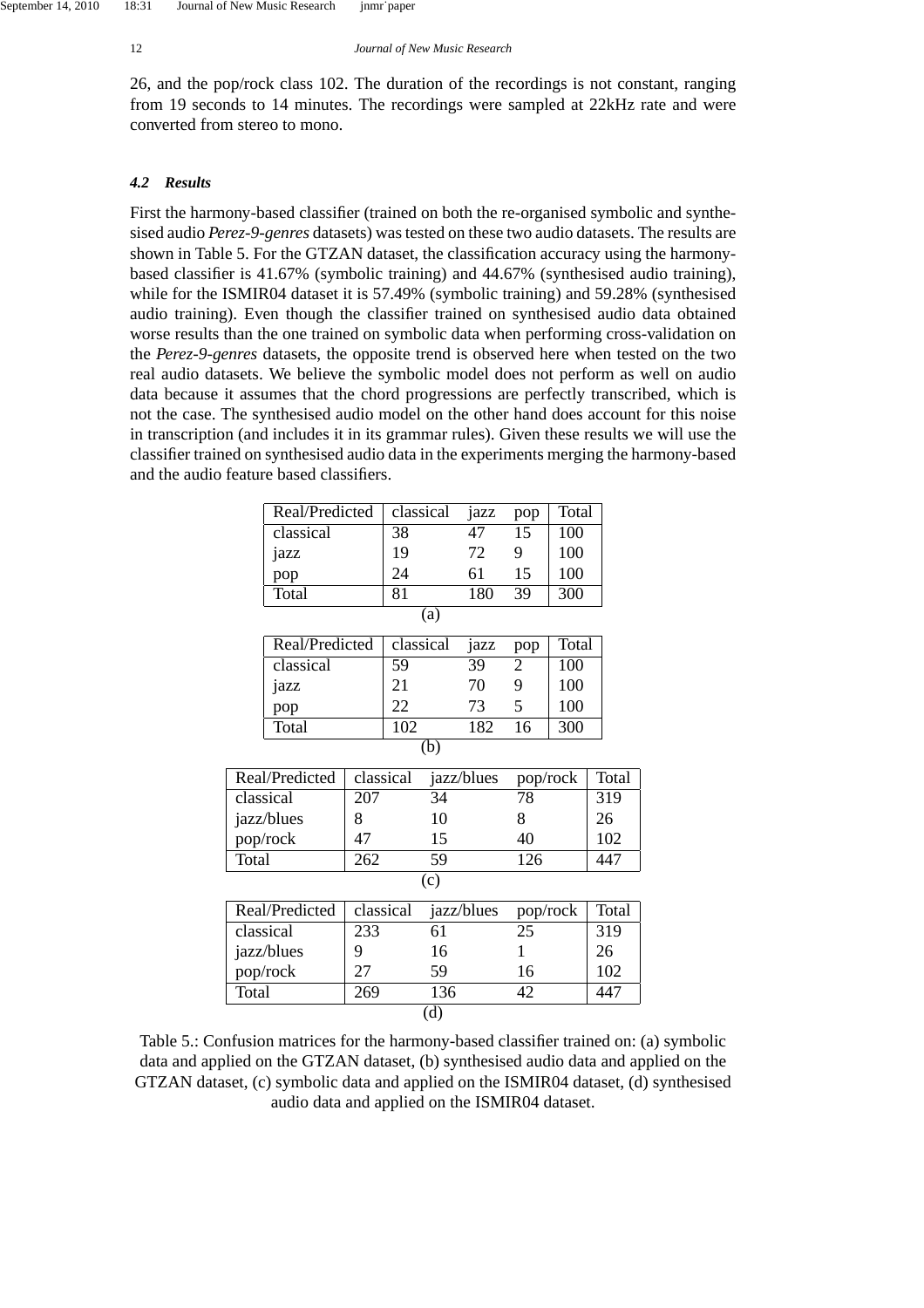26, and the pop/rock class 102. The duration of the recordings is not constant, ranging from 19 seconds to 14 minutes. The recordings were sampled at 22kHz rate and were converted from stereo to mono.

### *4.2 Results*

First the harmony-based classifier (trained on both the re-organised symbolic and synthesised audio *Perez-9-genres* datasets) was tested on these two audio datasets. The results are shown in Table 5. For the GTZAN dataset, the classification accuracy using the harmonybased classifier is 41.67% (symbolic training) and 44.67% (synthesised audio training), while for the ISMIR04 dataset it is 57.49% (symbolic training) and 59.28% (synthesised audio training). Even though the classifier trained on synthesised audio data obtained worse results than the one trained on symbolic data when performing cross-validation on the *Perez-9-genres* datasets, the opposite trend is observed here when tested on the two real audio datasets. We believe the symbolic model does not perform as well on audio data because it assumes that the chord progressions are perfectly transcribed, which is not the case. The synthesised audio model on the other hand does account for this noise in transcription (and includes it in its grammar rules). Given these results we will use the classifier trained on synthesised audio data in the experiments merging the harmony-based and the audio feature based classifiers.

| Real/Predicted |           | classical |      | jazz       | pop      | Total |       |
|----------------|-----------|-----------|------|------------|----------|-------|-------|
| classical      |           | 38        |      | 47         | 15       | 100   |       |
| jazz           |           | 19        |      | 72         | 9        | 100   |       |
| pop            |           | 24        |      | 61         | 15       | 100   |       |
| Total          |           | 81        |      | 180        | 39       | 300   |       |
|                |           |           | (a)  |            |          |       |       |
| Real/Predicted | classical |           | jazz | pop        | Total    |       |       |
| classical      |           | 59        |      | 39         | 2        | 100   |       |
| jazz           |           | 21        |      | 70         | 9        | 100   |       |
| pop            |           | 22        |      | 73         | 5        | 100   |       |
| Total          |           | 102       |      | 182        | 16       | 300   |       |
|                |           |           | (b)  |            |          |       |       |
| Real/Predicted |           | classical |      | jazz/blues | pop/rock |       | Total |
| classical      | 207       |           | 34   |            | 78       |       | 319   |

| roan Froarcea | <u>uwww.u</u> | $\mu$ LL $\sigma$ | $p \vee p \vee p \vee q$ | 10u |  |  |
|---------------|---------------|-------------------|--------------------------|-----|--|--|
| classical     | 207           | 34                | 78                       | 319 |  |  |
| jazz/blues    |               | 10                |                          | 26  |  |  |
| pop/rock      |               | 15                | 40                       | 102 |  |  |
| Total         | 262           | 59                | 26                       |     |  |  |
| (c            |               |                   |                          |     |  |  |

| Real/Predicted | classical | jazz/blues | pop/rock | Total |  |  |
|----------------|-----------|------------|----------|-------|--|--|
| classical      | 233       | 61         | 25       | 319   |  |  |
| jazz/blues     |           | 16         |          | 26    |  |  |
| pop/rock       | 27        | 59         | 16       | 102   |  |  |
| Total          | 269       | 136        | 42       | 447   |  |  |
| IП             |           |            |          |       |  |  |

Table 5.: Confusion matrices for the harmony-based classifier trained on: (a) symbolic data and applied on the GTZAN dataset, (b) synthesised audio data and applied on the GTZAN dataset, (c) symbolic data and applied on the ISMIR04 dataset, (d) synthesised audio data and applied on the ISMIR04 dataset.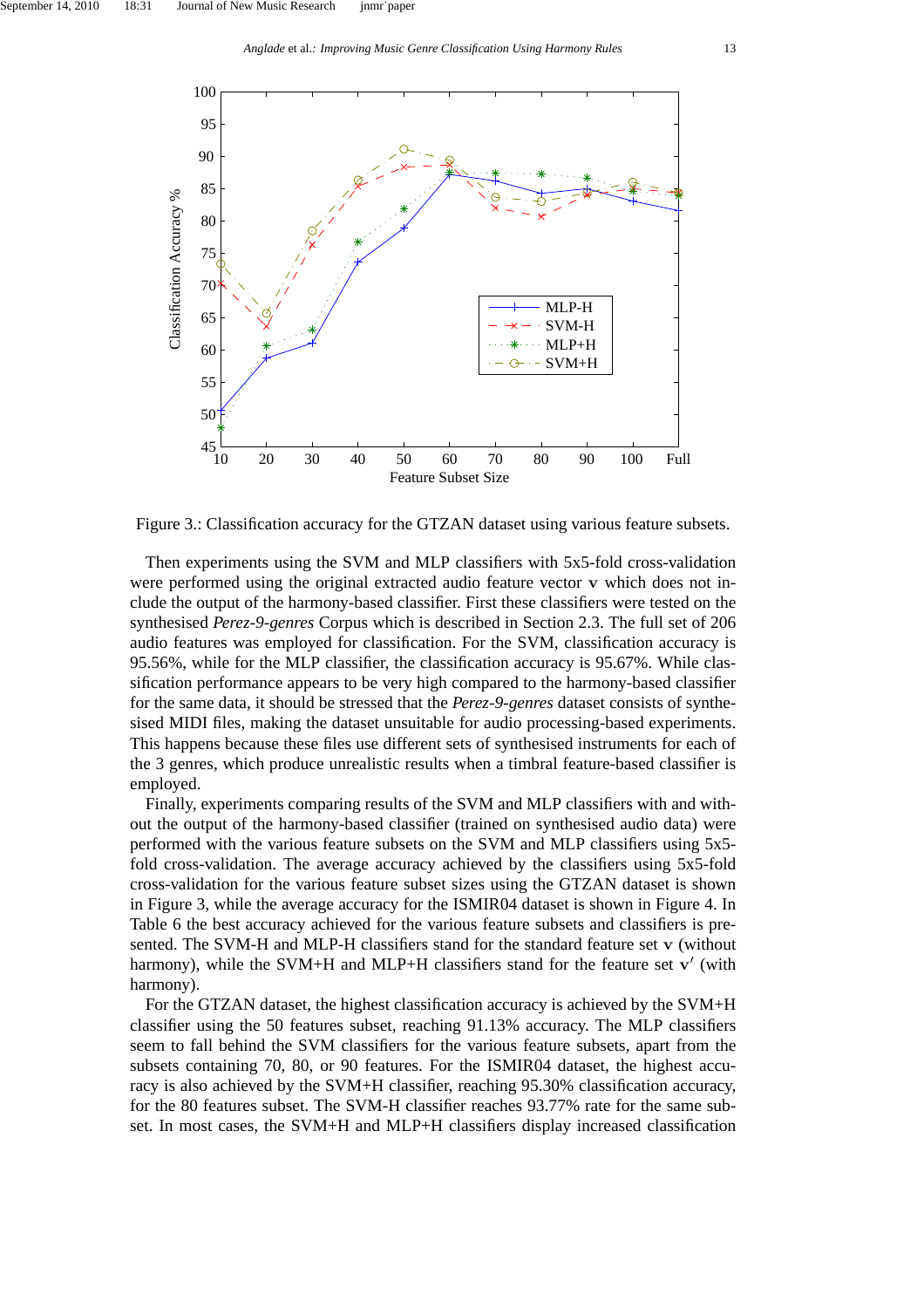*Anglade* et al.*: Improving Music Genre Classification Using Harmony Rules* 13



Figure 3.: Classification accuracy for the GTZAN dataset using various feature subsets.

Then experiments using the SVM and MLP classifiers with 5x5-fold cross-validation were performed using the original extracted audio feature vector v which does not include the output of the harmony-based classifier. First these classifiers were tested on the synthesised *Perez-9-genres* Corpus which is described in Section 2.3. The full set of 206 audio features was employed for classification. For the SVM, classification accuracy is 95.56%, while for the MLP classifier, the classification accuracy is 95.67%. While classification performance appears to be very high compared to the harmony-based classifier for the same data, it should be stressed that the *Perez-9-genres* dataset consists of synthesised MIDI files, making the dataset unsuitable for audio processing-based experiments. This happens because these files use different sets of synthesised instruments for each of the 3 genres, which produce unrealistic results when a timbral feature-based classifier is employed.

Finally, experiments comparing results of the SVM and MLP classifiers with and without the output of the harmony-based classifier (trained on synthesised audio data) were performed with the various feature subsets on the SVM and MLP classifiers using 5x5 fold cross-validation. The average accuracy achieved by the classifiers using 5x5-fold cross-validation for the various feature subset sizes using the GTZAN dataset is shown in Figure 3, while the average accuracy for the ISMIR04 dataset is shown in Figure 4. In Table 6 the best accuracy achieved for the various feature subsets and classifiers is presented. The SVM-H and MLP-H classifiers stand for the standard feature set v (without harmony), while the SVM+H and MLP+H classifiers stand for the feature set  $\mathbf{v}'$  (with harmony).

For the GTZAN dataset, the highest classification accuracy is achieved by the SVM+H classifier using the 50 features subset, reaching 91.13% accuracy. The MLP classifiers seem to fall behind the SVM classifiers for the various feature subsets, apart from the subsets containing 70, 80, or 90 features. For the ISMIR04 dataset, the highest accuracy is also achieved by the SVM+H classifier, reaching 95.30% classification accuracy, for the 80 features subset. The SVM-H classifier reaches 93.77% rate for the same subset. In most cases, the SVM+H and MLP+H classifiers display increased classification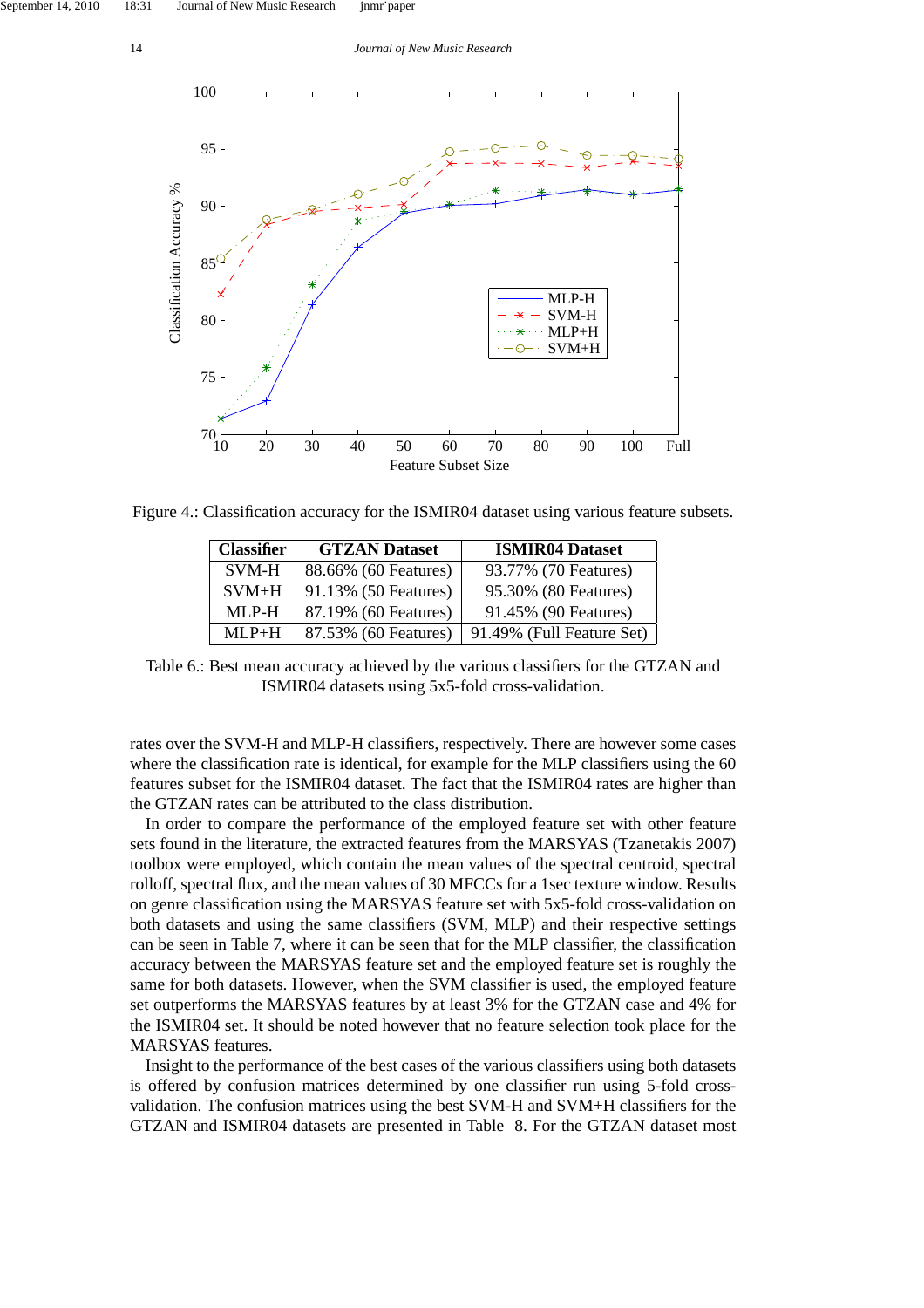



Figure 4.: Classification accuracy for the ISMIR04 dataset using various feature subsets.

| <b>Classifier</b> | <b>GTZAN Dataset</b> | <b>ISMIR04 Dataset</b>    |
|-------------------|----------------------|---------------------------|
| SVM-H             | 88.66% (60 Features) | 93.77% (70 Features)      |
| $SVM+H$           | 91.13% (50 Features) | 95.30% (80 Features)      |
| MLP-H             | 87.19% (60 Features) | 91.45% (90 Features)      |
| $MI.P+H$          | 87.53% (60 Features) | 91.49% (Full Feature Set) |

Table 6.: Best mean accuracy achieved by the various classifiers for the GTZAN and ISMIR04 datasets using 5x5-fold cross-validation.

rates over the SVM-H and MLP-H classifiers, respectively. There are however some cases where the classification rate is identical, for example for the MLP classifiers using the 60 features subset for the ISMIR04 dataset. The fact that the ISMIR04 rates are higher than the GTZAN rates can be attributed to the class distribution.

In order to compare the performance of the employed feature set with other feature sets found in the literature, the extracted features from the MARSYAS (Tzanetakis 2007) toolbox were employed, which contain the mean values of the spectral centroid, spectral rolloff, spectral flux, and the mean values of 30 MFCCs for a 1sec texture window. Results on genre classification using the MARSYAS feature set with 5x5-fold cross-validation on both datasets and using the same classifiers (SVM, MLP) and their respective settings can be seen in Table 7, where it can be seen that for the MLP classifier, the classification accuracy between the MARSYAS feature set and the employed feature set is roughly the same for both datasets. However, when the SVM classifier is used, the employed feature set outperforms the MARSYAS features by at least 3% for the GTZAN case and 4% for the ISMIR04 set. It should be noted however that no feature selection took place for the MARSYAS features.

Insight to the performance of the best cases of the various classifiers using both datasets is offered by confusion matrices determined by one classifier run using 5-fold crossvalidation. The confusion matrices using the best SVM-H and SVM+H classifiers for the GTZAN and ISMIR04 datasets are presented in Table 8. For the GTZAN dataset most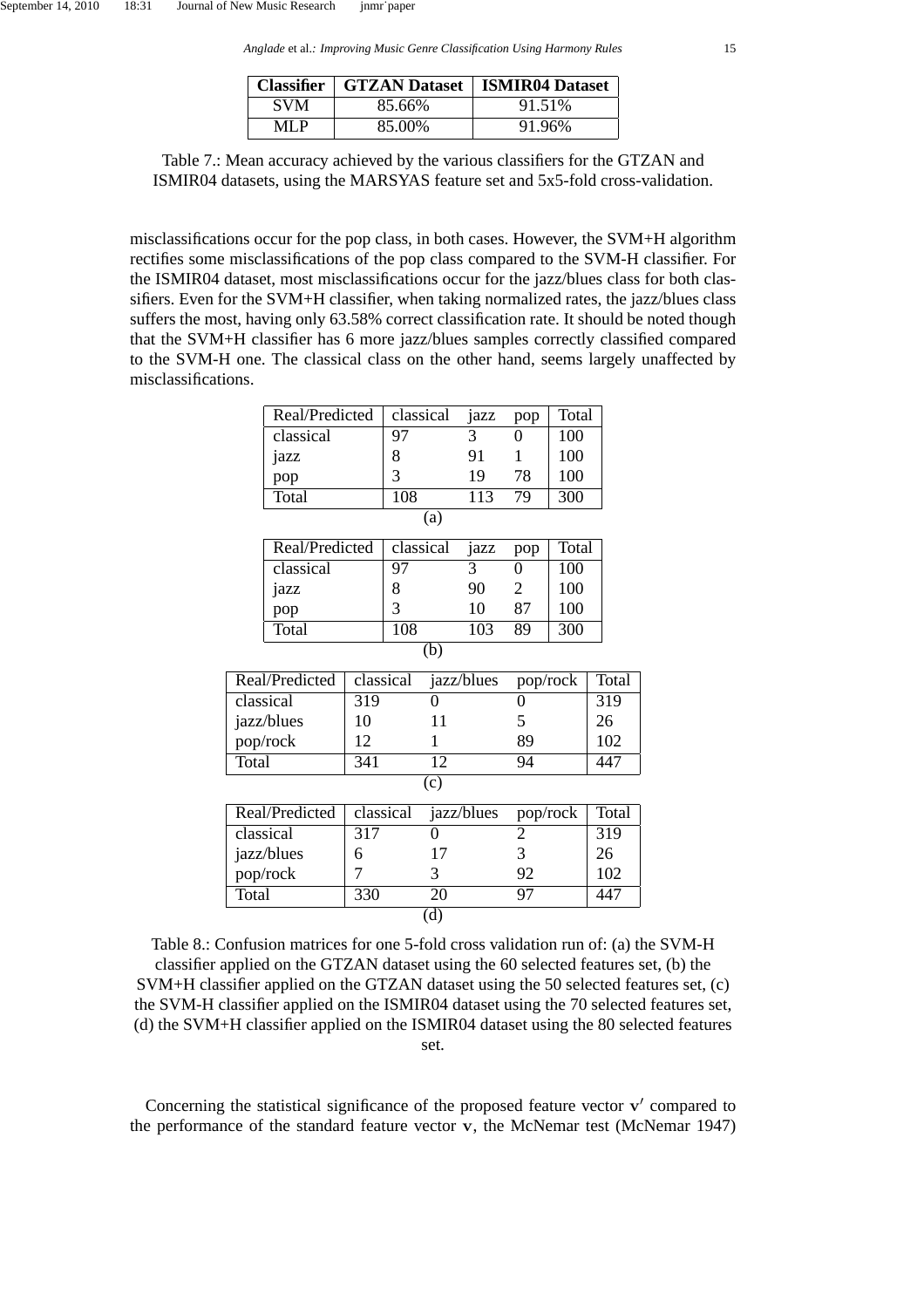*Anglade* et al.*: Improving Music Genre Classification Using Harmony Rules* 15

|            |        | <b>Classifier   GTZAN Dataset   ISMIR04 Dataset</b> |
|------------|--------|-----------------------------------------------------|
| <b>SVM</b> | 85.66% | 91.51%                                              |
| MI P       | 85.00% | 91.96%                                              |

Table 7.: Mean accuracy achieved by the various classifiers for the GTZAN and ISMIR04 datasets, using the MARSYAS feature set and 5x5-fold cross-validation.

misclassifications occur for the pop class, in both cases. However, the SVM+H algorithm rectifies some misclassifications of the pop class compared to the SVM-H classifier. For the ISMIR04 dataset, most misclassifications occur for the jazz/blues class for both classifiers. Even for the SVM+H classifier, when taking normalized rates, the jazz/blues class suffers the most, having only 63.58% correct classification rate. It should be noted though that the SVM+H classifier has 6 more jazz/blues samples correctly classified compared to the SVM-H one. The classical class on the other hand, seems largely unaffected by misclassifications.

|           | Real/Predicted |                  |     | classical        | jazz       | pop            | Total |       |
|-----------|----------------|------------------|-----|------------------|------------|----------------|-------|-------|
|           | classical      |                  | 97  |                  | 3          | 0              | 100   |       |
|           | jazz           |                  | 8   |                  | 91         | 1              | 100   |       |
|           | pop            |                  | 3   |                  | 19         | 78             | 100   |       |
|           | Total          |                  | 108 |                  | 113        | 79             | 300   |       |
|           |                |                  |     | (a)              |            |                |       |       |
|           | Real/Predicted |                  |     | classical        | jazz       | pop            | Total |       |
|           | classical      |                  | 97  |                  | 3          | $\theta$       | 100   |       |
|           | jazz           |                  | 8   |                  | 90         | $\overline{2}$ | 100   |       |
|           | pop            |                  | 3   |                  | 10         | 87             | 100   |       |
|           | Total          |                  | 108 |                  | 103        | 89             | 300   |       |
|           |                |                  |     | $\overline{(b)}$ |            |                |       |       |
|           | Real/Predicted | classical        |     |                  | jazz/blues | pop/rock       |       | Total |
| classical |                | 319              |     | 0                |            | $\theta$       |       | 319   |
|           | jazz/blues     | 10               |     | 11               |            | 5              |       | 26    |
|           | pop/rock       | 12               |     | 1                |            | 89             |       | 102   |
| Total     |                | 341              |     | $\overline{12}$  |            | 94             |       | 447   |
|           |                |                  |     | (c)              |            |                |       |       |
|           | Real/Predicted | classical        |     |                  | jazz/blues | pop/rock       |       | Total |
| classical |                | $\overline{317}$ |     | 0                |            | $\overline{2}$ |       | 319   |
|           | jazz/blues     | 6                |     | 17               |            | 3              |       | 26    |
|           | pop/rock       | 7                |     | 3                |            | 92             |       | 102   |
| Total     |                | 330              |     | $\overline{20}$  |            | 97             |       | 447   |
|           |                |                  |     | (d)              |            |                |       |       |

Table 8.: Confusion matrices for one 5-fold cross validation run of: (a) the SVM-H classifier applied on the GTZAN dataset using the 60 selected features set, (b) the SVM+H classifier applied on the GTZAN dataset using the 50 selected features set, (c) the SVM-H classifier applied on the ISMIR04 dataset using the 70 selected features set, (d) the SVM+H classifier applied on the ISMIR04 dataset using the 80 selected features set.

Concerning the statistical significance of the proposed feature vector v' compared to the performance of the standard feature vector v, the McNemar test (McNemar 1947)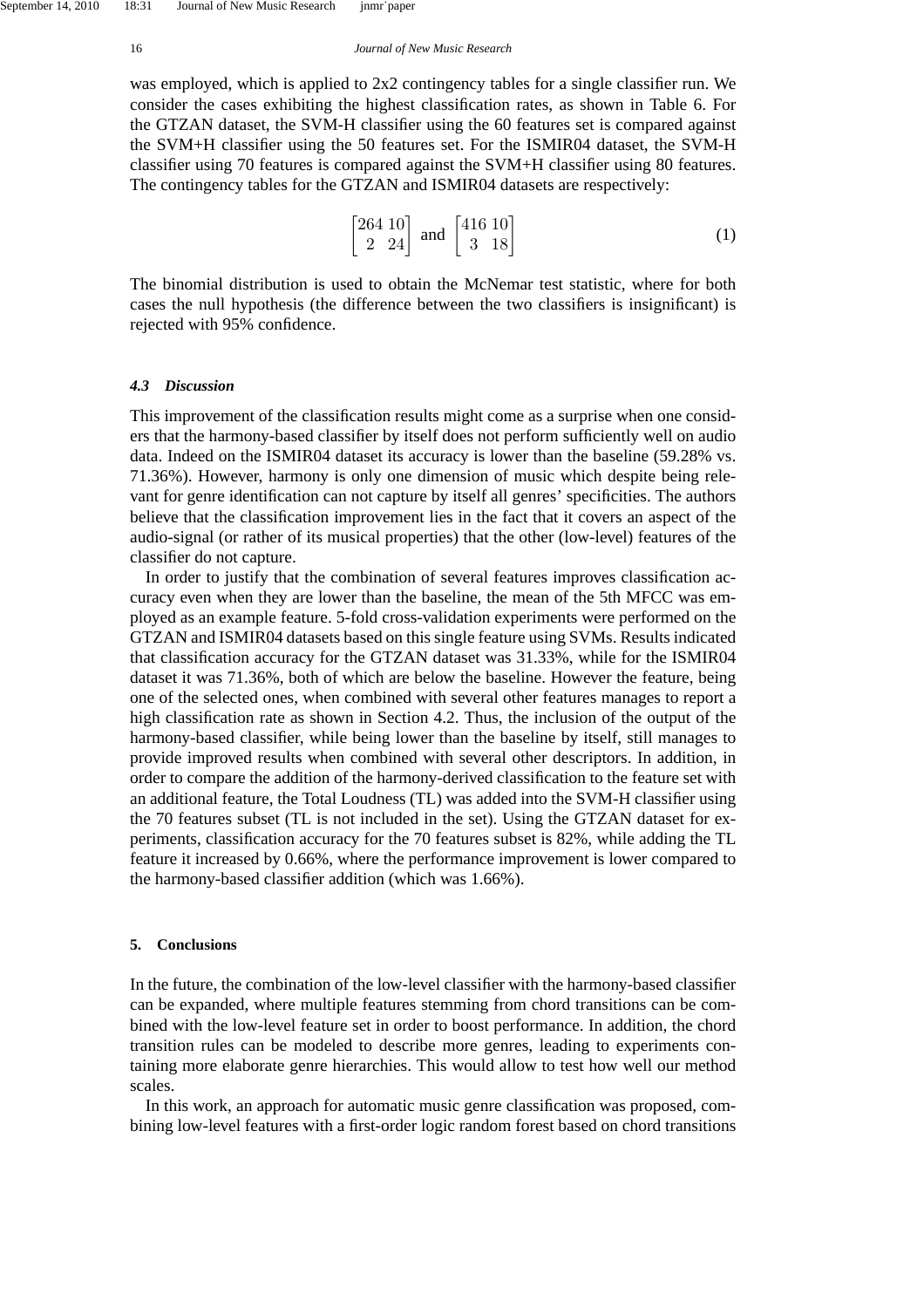#### 16 *Journal of New Music Research*

was employed, which is applied to 2x2 contingency tables for a single classifier run. We consider the cases exhibiting the highest classification rates, as shown in Table 6. For the GTZAN dataset, the SVM-H classifier using the 60 features set is compared against the SVM+H classifier using the 50 features set. For the ISMIR04 dataset, the SVM-H classifier using 70 features is compared against the SVM+H classifier using 80 features. The contingency tables for the GTZAN and ISMIR04 datasets are respectively:

$$
\begin{bmatrix} 264 & 10 \\ 2 & 24 \end{bmatrix} \text{ and } \begin{bmatrix} 416 & 10 \\ 3 & 18 \end{bmatrix} \tag{1}
$$

The binomial distribution is used to obtain the McNemar test statistic, where for both cases the null hypothesis (the difference between the two classifiers is insignificant) is rejected with 95% confidence.

### *4.3 Discussion*

This improvement of the classification results might come as a surprise when one considers that the harmony-based classifier by itself does not perform sufficiently well on audio data. Indeed on the ISMIR04 dataset its accuracy is lower than the baseline (59.28% vs. 71.36%). However, harmony is only one dimension of music which despite being relevant for genre identification can not capture by itself all genres' specificities. The authors believe that the classification improvement lies in the fact that it covers an aspect of the audio-signal (or rather of its musical properties) that the other (low-level) features of the classifier do not capture.

In order to justify that the combination of several features improves classification accuracy even when they are lower than the baseline, the mean of the 5th MFCC was employed as an example feature. 5-fold cross-validation experiments were performed on the GTZAN and ISMIR04 datasets based on this single feature using SVMs. Results indicated that classification accuracy for the GTZAN dataset was 31.33%, while for the ISMIR04 dataset it was 71.36%, both of which are below the baseline. However the feature, being one of the selected ones, when combined with several other features manages to report a high classification rate as shown in Section 4.2. Thus, the inclusion of the output of the harmony-based classifier, while being lower than the baseline by itself, still manages to provide improved results when combined with several other descriptors. In addition, in order to compare the addition of the harmony-derived classification to the feature set with an additional feature, the Total Loudness (TL) was added into the SVM-H classifier using the 70 features subset (TL is not included in the set). Using the GTZAN dataset for experiments, classification accuracy for the 70 features subset is 82%, while adding the TL feature it increased by 0.66%, where the performance improvement is lower compared to the harmony-based classifier addition (which was 1.66%).

#### **5. Conclusions**

In the future, the combination of the low-level classifier with the harmony-based classifier can be expanded, where multiple features stemming from chord transitions can be combined with the low-level feature set in order to boost performance. In addition, the chord transition rules can be modeled to describe more genres, leading to experiments containing more elaborate genre hierarchies. This would allow to test how well our method scales.

In this work, an approach for automatic music genre classification was proposed, combining low-level features with a first-order logic random forest based on chord transitions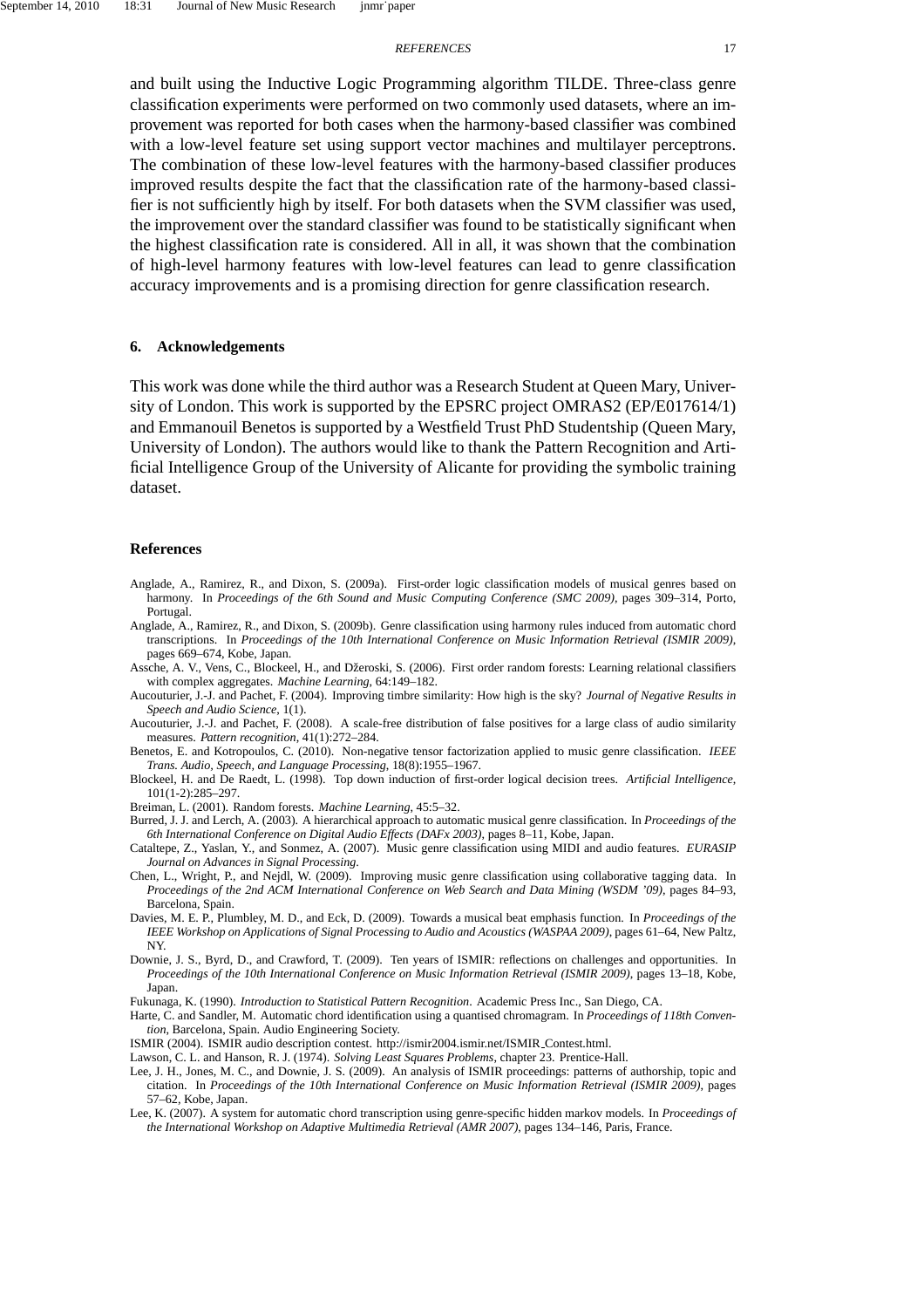#### *REFERENCES* 17

and built using the Inductive Logic Programming algorithm TILDE. Three-class genre classification experiments were performed on two commonly used datasets, where an improvement was reported for both cases when the harmony-based classifier was combined with a low-level feature set using support vector machines and multilayer perceptrons. The combination of these low-level features with the harmony-based classifier produces improved results despite the fact that the classification rate of the harmony-based classifier is not sufficiently high by itself. For both datasets when the SVM classifier was used, the improvement over the standard classifier was found to be statistically significant when the highest classification rate is considered. All in all, it was shown that the combination of high-level harmony features with low-level features can lead to genre classification accuracy improvements and is a promising direction for genre classification research.

### **6. Acknowledgements**

This work was done while the third author was a Research Student at Queen Mary, University of London. This work is supported by the EPSRC project OMRAS2 (EP/E017614/1) and Emmanouil Benetos is supported by a Westfield Trust PhD Studentship (Queen Mary, University of London). The authors would like to thank the Pattern Recognition and Artificial Intelligence Group of the University of Alicante for providing the symbolic training dataset.

#### **References**

- Anglade, A., Ramirez, R., and Dixon, S. (2009a). First-order logic classification models of musical genres based on harmony. In *Proceedings of the 6th Sound and Music Computing Conference (SMC 2009)*, pages 309–314, Porto, Portugal.
- Anglade, A., Ramirez, R., and Dixon, S. (2009b). Genre classification using harmony rules induced from automatic chord transcriptions. In *Proceedings of the 10th International Conference on Music Information Retrieval (ISMIR 2009)*, pages 669–674, Kobe, Japan.
- Assche, A. V., Vens, C., Blockeel, H., and Džeroski, S. (2006). First order random forests: Learning relational classifiers with complex aggregates. *Machine Learning*, 64:149–182.
- Aucouturier, J.-J. and Pachet, F. (2004). Improving timbre similarity: How high is the sky? *Journal of Negative Results in Speech and Audio Science*, 1(1).
- Aucouturier, J.-J. and Pachet, F. (2008). A scale-free distribution of false positives for a large class of audio similarity measures. *Pattern recognition*, 41(1):272–284.
- Benetos, E. and Kotropoulos, C. (2010). Non-negative tensor factorization applied to music genre classification. *IEEE Trans. Audio, Speech, and Language Processing*, 18(8):1955–1967.
- Blockeel, H. and De Raedt, L. (1998). Top down induction of first-order logical decision trees. *Artificial Intelligence*, 101(1-2):285–297.
- Breiman, L. (2001). Random forests. *Machine Learning*, 45:5–32.
- Burred, J. J. and Lerch, A. (2003). A hierarchical approach to automatic musical genre classification. In *Proceedings of the 6th International Conference on Digital Audio Effects (DAFx 2003)*, pages 8–11, Kobe, Japan.
- Cataltepe, Z., Yaslan, Y., and Sonmez, A. (2007). Music genre classification using MIDI and audio features. *EURASIP Journal on Advances in Signal Processing*.
- Chen, L., Wright, P., and Nejdl, W. (2009). Improving music genre classification using collaborative tagging data. In *Proceedings of the 2nd ACM International Conference on Web Search and Data Mining (WSDM '09)*, pages 84–93, Barcelona, Spain.
- Davies, M. E. P., Plumbley, M. D., and Eck, D. (2009). Towards a musical beat emphasis function. In *Proceedings of the IEEE Workshop on Applications of Signal Processing to Audio and Acoustics (WASPAA 2009)*, pages 61–64, New Paltz, NY.
- Downie, J. S., Byrd, D., and Crawford, T. (2009). Ten years of ISMIR: reflections on challenges and opportunities. In *Proceedings of the 10th International Conference on Music Information Retrieval (ISMIR 2009)*, pages 13–18, Kobe, Japan.
- Fukunaga, K. (1990). *Introduction to Statistical Pattern Recognition*. Academic Press Inc., San Diego, CA.
- Harte, C. and Sandler, M. Automatic chord identification using a quantised chromagram. In *Proceedings of 118th Convention*, Barcelona, Spain. Audio Engineering Society.
- ISMIR (2004). ISMIR audio description contest. http://ismir2004.ismir.net/ISMIR Contest.html.
- Lawson, C. L. and Hanson, R. J. (1974). *Solving Least Squares Problems*, chapter 23. Prentice-Hall.
- Lee, J. H., Jones, M. C., and Downie, J. S. (2009). An analysis of ISMIR proceedings: patterns of authorship, topic and citation. In *Proceedings of the 10th International Conference on Music Information Retrieval (ISMIR 2009)*, pages 57–62, Kobe, Japan.
- Lee, K. (2007). A system for automatic chord transcription using genre-specific hidden markov models. In *Proceedings of the International Workshop on Adaptive Multimedia Retrieval (AMR 2007)*, pages 134–146, Paris, France.